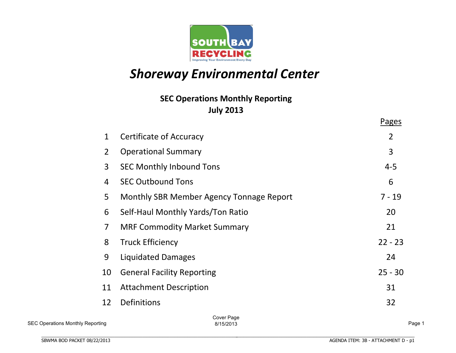

# **Shoreway Environmental Center**

# **July%2013 SEC Operations Monthly Reporting**

|                |                                          | <b>Pages</b> |
|----------------|------------------------------------------|--------------|
| $\mathbf 1$    | <b>Certificate of Accuracy</b>           | 2            |
| $\overline{2}$ | <b>Operational Summary</b>               | 3            |
| 3              | <b>SEC Monthly Inbound Tons</b>          | $4 - 5$      |
| 4              | <b>SEC Outbound Tons</b>                 | 6            |
| 5              | Monthly SBR Member Agency Tonnage Report | $7 - 19$     |
| 6              | Self-Haul Monthly Yards/Ton Ratio        | 20           |
| $\overline{7}$ | <b>MRF Commodity Market Summary</b>      | 21           |
| 8              | <b>Truck Efficiency</b>                  | $22 - 23$    |
| 9              | Liquidated Damages                       | 24           |
| 10             | <b>General Facility Reporting</b>        | $25 - 30$    |
| 11             | <b>Attachment Description</b>            | 31           |
| 12             | Definitions                              | 32           |
|                | Cover Page                               |              |

Cover Page 8/15/2013 Page 1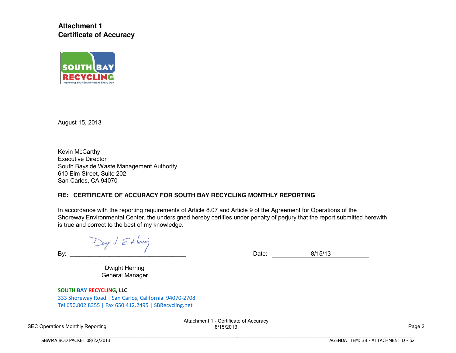**Attachment 1 Certificate of Accuracy**



August 15, 2013

Kevin McCarthy Executive Director South Bayside Waste Management Authority 610 Elm Street, Suite 202 San Carlos, CA 94070

### **RE: CERTIFICATE OF ACCURACY FOR SOUTH BAY RECYCLING MONTHLY REPORTING**

In accordance with the reporting requirements of Article 8.07 and Article 9 of the Agreement for Operations of the Shoreway Environmental Center, the undersigned hereby certifies under penalty of perjury that the report submitted herewith is true and correct to the best of my knowledge.

Day J Ettering

By: 2008. Exercise the contract of the contract of the Date: 2015/13

BBBBBBBBBBBBBBBBBBBBBBBBBBBBBBBBBBBBBBBBBBBBBBBBBBBBBBBBBBBBBBBBBBBBBBB

Dwight Herring General Manager

**SOUTH BAY RECYCLING, LLC** 

333 Shoreway Road | San Carlos, California. 94070-2708 Tel.650.802.8355 | Fax.650.412.2495 | SBRecycling.net

BBBBBBBBBBBBBBBBBBBBBBBBBBBBBBBBBBBBBBBBBBBBBBBBBBBBBBBBBBBBBBBBBBBBBBBBBBBBBB

SEC Operations Monthly Reporting

Attachment 1 - Certificate of Accuracy 8/15/2013 Page 2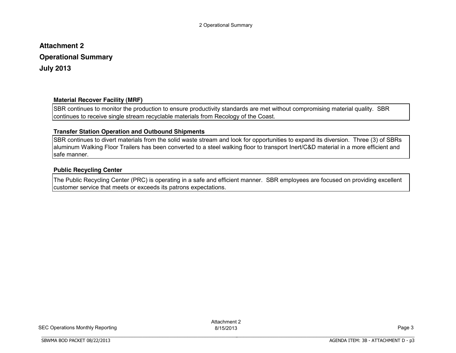# **Attachment 2 Operational Summary July 2013**

### **Material Recover Facility (MRF)**

SBR continues to monitor the production to ensure productivity standards are met without compromising material quality. SBR continues to receive single stream recyclable materials from Recology of the Coast.

### **Transfer Station Operation and Outbound Shipments**

BBBBBBBBBBBBBBBBBBBBBBBBBBBBBBBBBBBBBBBBBBBBBBBBBBBBBBBBBBBBBBBBBBBBBBBBBBBBBB

SBR continues to divert materials from the solid waste stream and look for opportunities to expand its diversion. Three (3) of SBRs aluminum Walking Floor Trailers has been converted to a steel walking floor to transport Inert/C&D material in a more efficient and safe manner.

### **Public Recycling Center**

The Public Recycling Center (PRC) is operating in a safe and efficient manner. SBR employees are focused on providing excellent customer service that meets or exceeds its patrons expectations.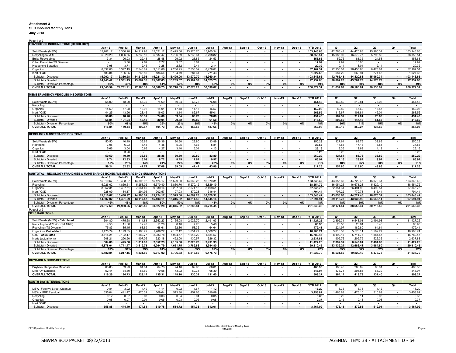#### **Attachment 3 SEC Inbound Monthly Tons July 2013**

#### Page 1 of 3

| <b>FRANCHISED INBOUND TONS (RECOLOGY)</b>                                     |               |           |               |           |               |                     |               |                          |                          |                          |                          |                          |                 |           |                |                |                          |            |
|-------------------------------------------------------------------------------|---------------|-----------|---------------|-----------|---------------|---------------------|---------------|--------------------------|--------------------------|--------------------------|--------------------------|--------------------------|-----------------|-----------|----------------|----------------|--------------------------|------------|
|                                                                               | $Jan-13$      | Feb-13    | $Mar-13$      | Apr-13    | <b>May-13</b> | <b>Jun-13</b>       | <b>Jul-13</b> | Aug-13                   | <b>Sep-13</b>            | Oct-13                   | <b>Nov-13</b>            | Dec-13                   | <b>YTD 2012</b> | Q1        | Q <sub>2</sub> | Q3             | Q4                       | Total      |
| Solid Waste (MSW)                                                             | 15,202.17     | 13,350.28 | 14,212.98     | 15,021.12 | 15,429.06     | 13,970.70           | 15,960.34     |                          |                          |                          |                          |                          | 103,146.65      | 42,765.43 | 44,420.88      | 15,960.34      |                          | 103,146.65 |
| Recycling to MRF                                                              | 5,920.20      | 4,836.65  | 5,230.10      | 5,537.47  | 5,796.69      | 5,238.61            | 5,798.82      |                          |                          |                          |                          |                          | 38,358.54       | 15,986.95 | 16,572.77      | 5,798.82       |                          | 38,358.54  |
| <b>Bulky Recyclables</b>                                                      | 3.34          | 26.93     | 22.48         | 28.48     | 29.02         | 23.85               | 24.53         | $\sim$                   |                          | $\sim$                   | a.                       |                          | 158.63          | 52.75     | 81.35          | 24.53          | $\sim$                   | 158.63     |
| Other Franchise TS Diversion                                                  |               | 5.30      | 2.69          | 2.77      | 3.57          | 3.67                |               | $\sim$                   |                          |                          |                          |                          | 17.99           | 7.99      | 10.00          |                | $\mathcal{L}$            | 17.99      |
| <b>Household Batteries</b>                                                    | 3.98          | 3.71      | 2.45          | 3.28      | 2.32          | 2.44                | 2.14          | $\bar{z}$                |                          |                          |                          |                          | 20.32           | 10.14     | 8.04           | 2.14           | $\omega$                 | 20.32      |
| Organics                                                                      | 8,332.06      | 6,377.19  | 7,545.82      | 9,611.86  | 9,266.75      | 7,555.02            | 8,478.81      |                          |                          |                          |                          |                          | 57,167.51       | 22,255.07 | 26,433.63      | 8,478.81       | $\mathcal{L}$            | 57,167.51  |
| Inert / C&D                                                                   | 183.84        | 136.95    | 266.50        | 186.54    | 194.79        | 287.61              | 271.43        |                          |                          |                          |                          |                          | 1,527.66        | 587.29    | 668.94         | 271.43         | $\mathcal{L}$            | 1,527.66   |
| Subtotal - Disposed                                                           | 15,202.17     | 13,350.28 | 14,212.98     | 15,021.12 | 15,429.06     | 13,970.70           | 15,960.34     | $\sim$                   | $\blacksquare$           | $\blacksquare$           |                          | $\overline{\phantom{a}}$ | 103,146.65      | 42,765.43 | 44,420.88      | 15,960.34      | $\sim$                   | 103,146.65 |
| Subtotal - Diverted                                                           | 14,443.42     | 11,381.43 | 13,067.35     | 15,367.63 | 15,289.57     | 13,107.53           | 14,575.73     | $\sim$                   | $\overline{\phantom{a}}$ | $\blacksquare$           | $\sim$                   | $\overline{\phantom{a}}$ | 97,232.66       | 38,892.20 | 43,764.73      | 14,575.73      | $\sim$                   | 97,232.66  |
| Subtotal - Diversion Percentage                                               | 49%           | 46%       | 48%           | 51%       | 50%           | 48%                 | 48%           | 0%                       | 0%                       | 0%                       | 0%                       | 0%                       | 49%             | 48%       | 50%            | 48%            | 0%                       | 49%        |
| <b>OVERALL TOTAL</b>                                                          | 29,645.59     | 24,731.71 | 27,280.33     | 30,388.75 | 30,718.63     | 27,078.23           | 30,536.07     |                          |                          |                          |                          |                          | 200,379.31      | 81,657.63 | 88,185.61      | 30,536.07      | $\blacksquare$           | 200,379.31 |
|                                                                               |               |           |               |           |               |                     |               |                          |                          |                          |                          |                          |                 |           |                |                |                          |            |
| MEMBER AGENCY VEHICLES INBOUND TONS                                           |               |           |               |           |               |                     |               |                          |                          |                          |                          |                          |                 |           |                |                |                          |            |
|                                                                               | $Jan-13$      | Feb-13    | <b>Mar-13</b> | Apr-13    | <b>May-13</b> | <b>Jun-13</b>       | <b>Jul-13</b> | Aug-13                   | <b>Sep-13</b>            | Oct-13                   | <b>Nov-13</b>            | Dec-13                   | <b>YTD 2012</b> | Q1        | Q <sub>2</sub> | Q <sub>3</sub> | Q4                       | Total      |
| Solid Waste (MSW)                                                             | 58.00         | 48.20     | 56.39         | 74.69     | 69.34         | 68.78               | 76.08         |                          |                          |                          |                          |                          | 451.48          | 162.59    | 212.81         | 76.08          |                          | 451.48     |
| Recycling                                                                     |               |           |               |           |               |                     |               |                          |                          |                          |                          |                          |                 |           |                |                |                          |            |
| Organics                                                                      | 14.59         | 57.28     | 18.02         | 14.01     | 17.48         | 14.13               | 16.57         |                          |                          |                          |                          |                          | 152.08          | 89.89     | 45.62          | 16.57          |                          | 152.08     |
| Inert / C&D                                                                   | 44.25         | 43.96     | 28.46         | 16.03     | 3.14          | 82.67               | 45.01         |                          |                          |                          |                          |                          | 263.52          | 116.67    | 101.84         | 45.01          | $\sim$                   | 263.52     |
| Subtotal - Disposed                                                           | 58.00         | 48.20     | 56.39         | 74.69     | 69.34         | 68.78               | 76.08         | $\overline{\phantom{a}}$ | $\blacksquare$           | $\blacksquare$           | $\overline{\phantom{a}}$ | $\blacksquare$           | 451.48          | 162.59    | 212.81         | 76.08          | $\sim$                   | 451.48     |
| Subtotal - Diverted                                                           | 58.84         | 101.24    | 46.48         | 30.04     | 20.62         | 96.80               | 61.58         | $\overline{\phantom{a}}$ |                          |                          |                          |                          | 415.60          | 206.56    | 147.46         | 61.58          | $\blacksquare$           | 415.60     |
| Subtotal - Diversion Percentage                                               | 50%           | 68%       | 45%           | 29%       | 23%           | 58%                 | 45%           | 0%                       | 0%                       | 0%                       | 0%                       | 0%                       | 48%             | 56%       | 41%            | 45%            | 0%                       | 48%        |
| <b>OVERALL TOTAL</b>                                                          | 116.84        | 149.44    | 102.87        | 104.73    | 89.96         | 165.58              | 137.66        |                          |                          |                          |                          | $\blacksquare$           | 867.08          | 369.15    | 360.27         | 137.66         | $\overline{\phantom{a}}$ | 867.08     |
|                                                                               |               |           |               |           |               |                     |               |                          |                          |                          |                          |                          |                 |           |                |                |                          |            |
| <b>RECOLOGY MAINTENANCE BOX TONS</b>                                          |               |           |               |           |               |                     |               |                          |                          |                          |                          |                          |                 |           |                |                |                          |            |
|                                                                               | $Jan-13$      | Feb-13    | <b>Mar-13</b> | Apr-13    | <b>May-13</b> | <b>Jun-13</b>       | <b>Jul-13</b> | Aug-13                   | <b>Sep-13</b>            | Oct-13                   | <b>Nov-13</b>            | <b>Dec-13</b>            | <b>YTD 2012</b> | Q1        | Q <sub>2</sub> | Q3             | Q4                       | Total      |
| Solid Waste (MSW)                                                             | 50.50         | 40.49     | 36.65         | 28.36     | 30.60         | 29.80               | 33.89         |                          |                          |                          |                          |                          | 250.29          | 127.64    | 88.76          | 33.89          |                          | 250.29     |
| Recycling                                                                     | 3.08          | 6.03      | 5.44          | 4.45      | 5.05          | 7.66                | 5.84          | $\sim$                   | $\overline{\phantom{a}}$ | $\sim$                   | $\sim$                   | $\overline{\phantom{a}}$ | 37.55           | 14.55     | 17.16          | 5.84           | $\bar{a}$                | 37.55      |
| Organics                                                                      | 5.66          | 3.04      | 0.65          | 4.27      | 3.40          | 5.01                | 4.13          | $\sim$                   | $\overline{\phantom{a}}$ | $\sim$                   | $\sim$                   | $\sim$                   | 26.16           | 9.35      | 12.68          | 4.13           | $\sim$                   | 26.16      |
| Inert / C&D                                                                   |               | 3.26      |               |           |               |                     |               |                          |                          |                          |                          |                          | 3.26            | 3.26      |                |                |                          | 3.26       |
| Subtotal - Disposed                                                           | 50.50         | 40.49     | 36.65         | 28.36     | 30.60         | 29.80               | 33.89         | $\overline{\phantom{a}}$ | $\overline{\phantom{a}}$ | $\blacksquare$           | $\overline{\phantom{a}}$ | $\overline{\phantom{a}}$ | 250.29          | 127.64    | 88.76          | 33.89          | $\sim$                   | 250.29     |
| Subtotal - Diverted                                                           | 8.74          | 12.33     | 6.09          | 8.72      | 8.45          | 12.67               | 9.97          | $\overline{\phantom{a}}$ | $\overline{\phantom{a}}$ | $\overline{\phantom{a}}$ | $\blacksquare$           | $\overline{\phantom{a}}$ | 66.97           | 27.16     | 29.84          | 9.97           | $\sim$                   | 66.97      |
| Subtotal - Diversion Percentage                                               | 15%           | 23%       | 14%           | 24%       | 22%           | 30%                 | 23%           | 0%                       | 0%                       | 0%                       | 0%                       | 0%                       | 21%             | 18%       | 25%            | 23%            | 0%                       | 21%        |
| <b>OVERALL TOTAL</b>                                                          | 59.24         | 52.82     | 42.74         | 37.08     | 39.05         | 42.47               | 43.86         | $\overline{\phantom{a}}$ | $\overline{\phantom{a}}$ |                          | $\blacksquare$           | $\blacksquare$           | 317.26          | 154.80    | 118.60         | 43.86          | $\blacksquare$           | 317.26     |
|                                                                               |               |           |               |           |               |                     |               |                          |                          |                          |                          |                          |                 |           |                |                |                          |            |
| SUBTOTAL: RECOLOGY FRANCHISE & MAINTENANCE BOXES / MEMBER AGENCY SUMMARY TONS |               |           |               |           |               |                     |               |                          |                          |                          |                          |                          |                 |           |                |                |                          |            |
|                                                                               | <b>Jan-13</b> | Feb-13    | <b>Mar-13</b> | Apr-13    | <b>May-13</b> | <b>Jun-13</b>       | <b>Jul-13</b> | Aug-13                   | <b>Sep-13</b>            | Oct-13                   | <b>Nov-13</b>            | Dec-13                   | <b>YTD 2012</b> | Q1        | Q2             | Q3             | Q4                       | Total      |
| Solid Waste (MSW)                                                             | 15,310.67     | 13,438.97 | 14,306.02     | 15,124.17 | 15,529.00     | 14,069.28           | 16,070.31     |                          |                          |                          |                          |                          | 103,848.42      | 43,055.66 | 44,722.45      | 16,070.31      |                          | 103,848.42 |
|                                                                               | 5,926.62      | 4,869.61  | 5,258.02      | 5,570.40  | 5,830.76      | 5,270.12            | 5,829.19      |                          | $\overline{\phantom{a}}$ | $\overline{\phantom{a}}$ | $\sim$                   |                          | 38,554.72       | 16,054.25 | 16,671.28      | 5,829.19       |                          | 38,554.72  |
| Recycling                                                                     | 8,352.31      | 6,437.51  | 7,564.49      | 9,630.14  | 9,287.63      | 7,574.16            | 8,499.51      | $\sim$                   | $\sim$                   | $\sim$                   | $\sim$                   | $\sim$<br>$\sim$         | 57,345.75       | 22,354.31 | 26,491.93      | 8,499.51       | $\sim$<br>$\sim$         | 57,345.75  |
| Organics<br>Inert / C&D                                                       | 228.09        | 184.17    | 294.96        | 202.57    | 197.93        | 370.28              | 316.44        | $\sim$<br>$\sim$         | $\sim$                   | $\sim$                   | $\sim$                   | $\overline{\phantom{a}}$ | 1,794.44        | 707.22    | 770.78         | 316.44         | $\sim$                   | 1,794.44   |
| Subtotal - Disposed                                                           | 15,310.67     | 13,438.97 | 14,306.02     | 15,124.17 | 15,529.00     | 14,069.28           | 16,070.31     | $\sim$                   | $\sim$                   | $\blacksquare$           | $\sim$                   | $\overline{\phantom{a}}$ | 103,848.42      | 43,055.66 | 44,722.45      | 16,070.31      | $\sim$                   | 103,848.42 |
| Subtotal - Diverted                                                           | 14,507.02     | 11.491.29 | 13,117.47     | 15,403.11 | 15,316.32     | 13.214.56           | 14,645.14     | $\sim$                   | $\overline{\phantom{a}}$ | $\blacksquare$           | $\sim$                   | $\sim$                   | 97,694.91       | 39,115.78 | 43,933.99      | 14,645.14      | $\sim$                   | 97,694.91  |
|                                                                               | 49%           | 46%       | 48%           | 50%       | 50%           | 48%                 | 48%           | 0%                       | 0%                       | 0%                       | 0%                       | 0%                       | 48%             | 48%       | 50%            | 48%            | 0%                       | 48%        |
| Subtotal - Diversion Percentage<br><b>OVERALL TOTAL</b>                       | 29,817.69     | 24,930.26 | 27,423.49     | 30,527.28 |               | 30,845.32 27,283.84 | 30,715.45     | $\sim$                   | $\overline{\phantom{a}}$ | $\blacksquare$           | $\overline{\phantom{a}}$ | $\sim$                   | 201,543.33      | 82,171.44 | 88,656.44      | 30,715.45      | $\sim$                   | 201,543.33 |
| Page 2 of 3                                                                   |               |           |               |           |               |                     |               |                          |                          |                          |                          |                          |                 |           |                |                |                          |            |
| <b>SELF HAUL TONS</b>                                                         |               |           |               |           |               |                     |               |                          |                          |                          |                          |                          |                 |           |                |                |                          |            |
|                                                                               | <b>Jan-13</b> | Feb-13    | <b>Mar-13</b> | Apr-13    | $May-13$      | <b>Jun-13</b>       | <b>Jul-13</b> | Aug-13                   | Sep-13                   | Oct-13                   | <b>Nov-13</b>            | Dec-13                   | <b>YTD 2012</b> | <b>O1</b> | Q <sub>2</sub> | Q3             | Q4                       | Total      |
| Solid Waste (MSW) - Calculated                                                | 604.80        | 475.68    | 1,311.83      | 2,352.23  | 2,165.08      | 2,025.70            | 2,491.93      | $\sim$                   |                          | $\sim$                   | $\sim$                   | $\sim$                   | 11,427.25       | 2,392.31  | 6,543.01       | 2,491.93       | $\sim$                   | 11,427.25  |
| Recycling to MRF (OCC & MRP)                                                  | 4.50          | 11.60     | 12.40         | 11.20     | 8.48          | 7.26                | 5.46          | $\sim$                   |                          | $\overline{\phantom{a}}$ | $\sim$                   | $\overline{\phantom{a}}$ | 60.90           | 28.50     | 26.94          | 5.46           | $\sim$                   | 60.90      |
| Recycling (TS Diversion)                                                      | 75.83         | 85.45     | 63.69         | 68.61     | 62.86         | 58.32               | 64.64         | $\sim$                   |                          | $\overline{\phantom{a}}$ | $\sim$                   | $\overline{\phantom{a}}$ | 479.41          | 224.97    | 189.80         | 64.64          | $\sim$                   | 479.41     |
| Organics - Calculated                                                         | 1.478.79      | 1,173.35  | 1,166.22      | 1,789.22  | 2,132.12      | 1.654.77            | 1.509.27      | $\sim$                   | $\sim$                   | $\sim$                   | $\sim$                   | $\sim$                   | 10.903.74       | 3,818.36  | 5,576.11       | 1.509.27       | $\sim$                   | 10,903.74  |
| C&D - Calculated                                                              | 3,115.21      | 3,192.17  | 1,882.77      | 2,083.78  | 1,984.77      | 1,646.20            | 1,884.57      | $\sim$                   | $\overline{\phantom{a}}$ | $\sim$                   | $\sim$                   | $\sim$                   | 15,789.47       | 8,190.15  | 5,714.75       | 1,884.57       | $\sim$                   | 15,789.47  |
| Inerts (actual tons)                                                          | 208.21        | 290.50    | 407.05        | 323.18    | 452.00        | 430.57              | 526.32        | $\sim$                   | $\blacksquare$           | $\omega$                 | $\sim$                   | $\sim$                   | 2,637.83        | 905.76    | 1,205.75       | 526.32         | $\sim$                   | 2,637.83   |
| Subtotal - Disposed                                                           | 604.80        | 475.68    | 1,311.83      | 2,352.23  | 2,165.08      | 2,025.70            | 2,491.93      | $\sim$                   | $\sim$                   | $\sim$                   | $\sim$                   | $\sim$                   | 11,427.25       | 2,392.31  | 6,543.01       | 2,491.93       | $\sim$                   | 11,427.25  |
| Subtotal - Diverted                                                           | 4,878.04      | 4,741.47  | 3,519.73      | 4,264.79  | 4,631.75      | 3,789.86            | 3,984.80      | $\overline{\phantom{a}}$ | $\overline{\phantom{a}}$ | $\blacksquare$           | $\sim$                   | $\blacksquare$           | 29,810.45       | 13,139.24 | 12,686.41      | 3,984.80       | $\sim$                   | 29,810.45  |
| Subtotal - Diversion Percentage                                               | 89%           | 91%       | 73%           | 64%       | 68%           | 65%                 | 62%           | 0%                       | 0%                       | 0%                       | 0%                       | 0%                       | 72%             | 85%       | 66%            | 62%            | 0%                       | 72%        |
| <b>OVERALL TOTAL</b>                                                          | 5,482.84      | 5,217.15  | 4,831.56      | 6,617.02  | 6,796.83      | 5,815.56            | 6,476.73      | $\sim$                   | $\blacksquare$           | $\blacksquare$           | $\sim$                   | $\overline{\phantom{a}}$ | 41,237.70       | 15,531.55 | 19,229.42      | 6,476.73       | $\sim$                   | 41,237.70  |
|                                                                               |               |           |               |           |               |                     |               |                          |                          |                          |                          |                          |                 |           |                |                |                          |            |
| <b>BUYBACK &amp; DROP-OFF TONS</b>                                            |               |           |               |           |               |                     |               |                          |                          |                          |                          |                          |                 |           |                |                |                          |            |
|                                                                               | $Jan-13$      | Feb-13    | <b>Mar-13</b> | Apr-13    | <b>May-13</b> | <b>Jun-13</b>       | <b>Jul-13</b> | Aug-13                   | <b>Sep-13</b>            | Oct-13                   | <b>Nov-13</b>            | Dec-13                   | <b>YTD 2012</b> | Q1        | Q2             | Q3             | Q4                       | Total      |
| <b>Buyback Recyclable Materials</b>                                           | 63.83         | 59.93     | 64.64         | 64.73     | 74.18         | 69.98               | 66.01         |                          |                          |                          |                          |                          | 463.30          | 188.40    | 208.89         | 66.01          | $\sim$                   | 463.30     |
| Drop-Off Materials                                                            | 52.44         | 64.80     | 58.50         | 70.58     | 73.92         | 60.34               | 65.39         | $\sim$                   |                          |                          | $\overline{\phantom{a}}$ | $\sim$                   | 445.97          | 175.74    | 204.84         | 65.39          | $\sim$                   | 445.97     |
| <b>OVERALL TOTAL</b>                                                          | 116.26        | 124.73    | 123.14        | 135.31    | 148.10        | 130.32              | 131.40        | $\overline{\phantom{a}}$ | $\overline{\phantom{a}}$ | $\blacksquare$           | $\sim$                   | $\blacksquare$           | 909.27          | 364.14    | 413.73         | 131.40         | $\sim$                   | 909.27     |
|                                                                               |               |           |               |           |               |                     |               |                          |                          |                          |                          |                          |                 |           |                |                |                          |            |
| <b>SOUTH BAY INTERNAL TONS</b>                                                |               |           |               |           |               |                     |               |                          |                          |                          |                          |                          |                 |           |                |                |                          |            |
|                                                                               | $Jan-13$      | Feb-13    | <b>Mar-13</b> | Apr-13    | $May-13$      | <b>Jun-13</b>       | <b>Jul-13</b> |                          |                          | Oct-13                   | <b>Nov-13</b>            | Dec-13                   | <b>YTD 2012</b> | <b>O1</b> | Q <sub>2</sub> | Q3             | Q4                       | Total      |
| MSW- Facility / Street Cleanup                                                | 0.84          | 3.02      | 4.49          | 1.14      | 0.92          | 1.67                | 1.12          | Aug-13                   | <b>Sep-13</b>            |                          |                          |                          | 13.20           | 8.35      | 3.73           | 1.12           |                          | 13.20      |
| MSW - MRF Residual                                                            | 555.04        | 441.47    | 470.32        | 509.64    | 513.80        | 452.66              | 510.89        | $\sim$                   |                          |                          | $\sim$                   | $\sim$                   | 3,453.82        | 1,466.83  | 1,476.10       | 510.89         | $\sim$                   | 3,453.82   |
|                                                                               | 0.12          | 0.07      | 0.03          | 0.03      | 0.04          | 0.04                | 0.05          | $\sim$                   |                          |                          | $\mathcal{L}$            | $\sim$                   | 0.38            | 0.22      | 0.11           | 0.05           | $\sim$                   | 0.38       |
| Recycling<br>Organics                                                         | 0.08          | 0.07      | 0.01          | 0.05      | 0.03          | 0.05                | 0.08          | $\sim$                   | $\sim$                   | $\sim$                   | $\sim$                   | $\sim$                   | 0.37            | 0.16      | 0.13           | 0.08           | $\sim$                   | 0.37       |
| Inert / C&D                                                                   |               |           | $\sim$        |           |               |                     |               | $\sim$                   | $\sim$                   | $\sim$                   | $\mathbf{r}$             | $\sim$                   |                 |           |                |                | $\sim$                   |            |
| Subtotal - Disposed                                                           | 555.88        | 444.49    | 474.81        | 510.78    | 514.72        | 454.33              | 512.01        | $\sim$                   | $\sim$                   | $\mathbf{r}$             | $\sim$                   | $\sim$                   | 3.467.02        | 1.475.18  | 1.479.83       | 512.01         | $\sim$                   | 3.467.02   |
|                                                                               |               |           |               |           |               |                     |               |                          |                          |                          |                          |                          |                 |           |                |                |                          |            |

BBBBBBBBBBBBBBBBBBBBBBBBBBBBBBBBBBBBBBBBBBBBBBBBBBBBBBBBBBBBBBBBBBBBBBBBBBBBBB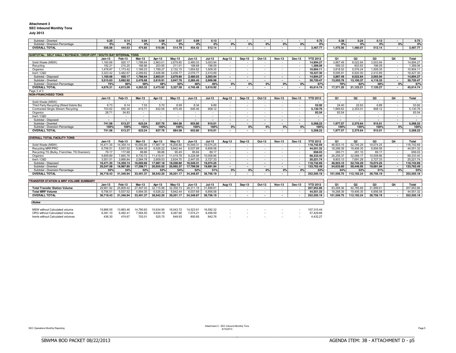#### **Attachment 3 SEC Inbound Monthly Tons**

**SUBTOTAL: SELF HAUL / BUYBACK / DROP-OFF / SOUTH BAY INTERNAL TONS**

### **July 2013**

| SEC INDOUND M |  |
|---------------|--|
| .             |  |

| ----        | . |  |  |
|-------------|---|--|--|
| . Inly 2013 |   |  |  |

| 1,478.87  | 1,173.42                                    | 1,166.23                                    | 1,789.27                           | 2,132.15                           | 1,654.82                 | 1,509.35                           | $\sim$                             | $\sim$                   | $\sim$                   | $\sim$                   | $\overline{\phantom{a}}$ | 10,904.11                | 3,818.52                                  | 5,576.24                                  | 1,509.35                                  | $\sim$                             | 10,904.1   |
|-----------|---------------------------------------------|---------------------------------------------|------------------------------------|------------------------------------|--------------------------|------------------------------------|------------------------------------|--------------------------|--------------------------|--------------------------|--------------------------|--------------------------|-------------------------------------------|-------------------------------------------|-------------------------------------------|------------------------------------|------------|
| 3.323.42  | 3.482.67                                    | 2.289.82                                    | 2.406.96                           | 2.436.77                           | 2.076.77                 | 2.410.89                           | $\sim$                             | $\sim$                   | $\sim$                   | $\sim$                   | $\sim$                   | 18.427.30                | 9.095.91                                  | 6.920.50                                  | 2.410.89                                  | $\sim$                             | 18,427.30  |
| 1.160.68  | 920.17                                      | 1.786.64                                    | 2.863.01                           | 2.679.80                           | 2.480.03                 | 3.003.94                           | $\sim$                             | $\overline{\phantom{a}}$ | $\sim$                   | $\sim$                   | $\sim$                   | 14.894.27                | 3.867.49                                  | 8.022.84                                  | 3.003.94                                  | $\sim$                             | 14.894.27  |
| 3.515.63  | 3.692.92                                    | 2.476.68                                    | 2.610.91                           | 2.647.78                           | 2.265.45                 | 2.606.98                           | $\sim$                             | $\overline{\phantom{a}}$ | $\overline{\phantom{a}}$ | $\overline{\phantom{a}}$ | $\overline{\phantom{a}}$ | 30.720.47                | 13.503.76                                 | 13.100.37                                 | 4.116.33                                  | $\sim$                             | 30.720.47  |
| 75%       | 80%                                         | 58%                                         | 48%                                | 50%                                | 48%                      | 46%                                | 0%                                 | 0%                       | 0%                       | 0%                       | 0%                       | 67%                      | 78%                                       | 62%                                       | 58%                                       | 0%                                 | 67%        |
| 4.676.31  | 4.613.09                                    | 4.263.32                                    | 5.473.92                           | 5.327.58                           | 4.745.48                 | 5.610.92                           |                                    |                          |                          |                          | $\overline{\phantom{a}}$ | 45.614.74                | 17.371.25                                 | 21.123.21                                 | 7.120.27                                  | $\sim$                             | 45.614.74  |
|           |                                             |                                             |                                    |                                    |                          |                                    |                                    |                          |                          |                          |                          |                          |                                           |                                           |                                           |                                    |            |
|           |                                             |                                             |                                    |                                    |                          |                                    |                                    |                          |                          |                          |                          |                          |                                           |                                           |                                           |                                    |            |
| $Jan-13$  | Feb-13                                      | Mar-13                                      | Apr-13                             | $Mav-13$                           | <b>Jun-13</b>            | $Jul-13$                           | Aug-13                             | Sep-13                   | Oct-13                   | <b>Nov-13</b>            | Dec-13                   | <b>YTD 2012</b>          | Q1                                        | Q <sub>2</sub>                            | Q3                                        | Q <sub>4</sub>                     | Total      |
| $\sim$    | $\sim$                                      | $\overline{\phantom{a}}$                    | $\sim$                             | $\sim$                             | $\overline{\phantom{a}}$ | $\sim$                             | $\sim$                             | $\overline{\phantom{a}}$ | $\overline{\phantom{a}}$ | $\sim$                   | $\overline{\phantom{a}}$ | $\overline{\phantom{a}}$ | $\sim$                                    | $\sim$                                    | $\sim$                                    | $\sim$                             | $\sim$     |
|           |                                             |                                             |                                    |                                    |                          |                                    | $\sim$                             | $\overline{\phantom{a}}$ | ٠                        | $\sim$                   | $\sim$                   |                          | 24.40                                     |                                           |                                           | $\sim$                             | 53.92      |
|           |                                             |                                             |                                    |                                    |                          |                                    | $\sim$                             | $\overline{\phantom{a}}$ | ٠                        | $\sim$                   | $\overline{\phantom{a}}$ |                          |                                           |                                           |                                           | $\sim$                             | 5,130.76   |
|           |                                             |                                             |                                    | $\sim$                             |                          | $\sim$                             | $\sim$                             |                          | ٠                        | $\sim$                   | $\overline{\phantom{a}}$ | 83.54                    |                                           |                                           | $\sim$                                    | $\sim$                             | 83.54      |
| $\sim$    | $\sim$                                      | $\overline{\phantom{a}}$                    | $\sim$                             | $\sim$                             | $\overline{\phantom{a}}$ | $\overline{\phantom{a}}$           | $\sim$                             | $\overline{\phantom{a}}$ | ٠                        | $\sim$                   | $\overline{\phantom{a}}$ | $\overline{\phantom{a}}$ | $\sim$                                    | $\overline{\phantom{a}}$                  | $\sim$                                    | $\sim$                             | $\sim$     |
| $\sim$    | $\overline{\phantom{a}}$                    | $\overline{\phantom{a}}$                    |                                    | $\sim$                             | $\overline{\phantom{a}}$ | $\blacksquare$                     |                                    |                          | $\blacksquare$           | $\blacksquare$           | $\overline{\phantom{a}}$ | $\sim$                   | $\sim$                                    |                                           |                                           | $\sim$                             | $\sim$     |
|           |                                             |                                             |                                    |                                    |                          |                                    | $\sim$                             | $\sim$                   | $\blacksquare$           | $\overline{\phantom{a}}$ | $\overline{\phantom{a}}$ |                          |                                           |                                           |                                           | $\overline{\phantom{a}}$           | 5.268.22   |
| 100%      | 100%                                        | 100%                                        | 100%                               | 100%                               | 100%                     | 100%                               | 0%                                 | 0%                       | 0%                       | 0%                       | 0%                       | 100%                     | 100%                                      | 100%                                      | 100%                                      | 0%                                 | 100%       |
|           |                                             |                                             |                                    | 884.08                             |                          |                                    | $\overline{\phantom{a}}$           |                          | $\blacksquare$           | $\blacksquare$           | $\overline{\phantom{a}}$ |                          |                                           |                                           |                                           | $\overline{\phantom{a}}$           | 5.268.22   |
|           |                                             |                                             |                                    |                                    |                          |                                    |                                    |                          |                          |                          |                          |                          |                                           |                                           |                                           |                                    |            |
|           |                                             |                                             |                                    |                                    |                          |                                    |                                    |                          |                          |                          |                          |                          |                                           |                                           |                                           |                                    |            |
|           |                                             |                                             |                                    |                                    |                          |                                    |                                    |                          |                          |                          |                          |                          |                                           |                                           |                                           |                                    |            |
| $Jan-13$  | Feb-13                                      | Mar-13                                      | Apr-13                             | $Mav-13$                           | <b>Jun-13</b>            | $Jul-13$                           | Aug-13                             | Sep-13                   | Oct-13                   | <b>Nov-13</b>            | <b>Dec-13</b>            | <b>YTD 2012</b>          | <b>O1</b>                                 | O <sub>2</sub>                            | Q3                                        | Q <sub>4</sub>                     | Total      |
| 16.471.35 | 14,359.14                                   | 16.092.66                                   | 17.987.18                          | 18,208.80                          | 16,549.31                | 19.074.25                          |                                    |                          | $\sim$                   |                          | $\sim$                   | 118.742.69               | 46.923.15                                 | 52.745.29                                 | 19.074.25                                 | $\sim$                             | 118,742.69 |
| 6.756.51  | 5.537.52                                    | 5.994.35                                    | 6.526.22                           | 6.842.44                           | 6,037.69                 | 6.856.58                           | $\sim$                             | $\overline{\phantom{a}}$ | $\sim$                   | $\sim$                   | $\overline{\phantom{a}}$ | 44.551.32                | 18.288.39                                 | 19.406.35                                 | 6.856.58                                  | $\sim$                             | 44,551.32  |
| 79.17     | 117.68                                      | 88.86                                       | 99.86                              | 95.45                              | 85.84                    | 89.17                              | $\sim$                             | $\sim$                   | $\sim$                   | $\sim$                   | $\sim$                   | 656.03                   | 285.71                                    | 281.15                                    | 89.17                                     | $\sim$                             | 656.03     |
| 9.859.89  | 7,665.76                                    | 8.730.72                                    | 11.419.41                          | 11,419.78                          | 9.228.98                 | 10.008.86                          | $\sim$                             |                          | $\sim$                   | $\sim$                   | $\sim$                   | 68.333.40                | 26.256.37                                 | 32.068.17                                 | 10.008.86                                 | $\sim$                             | 68,333.40  |
| 3.551.51  | 3.666.84                                    | 2.584.78                                    | 2.609.53                           | 2.634.70                           | 2.447.05                 | 2.727.33                           | $\sim$                             | $\overline{\phantom{a}}$ | $\sim$                   | $\sim$                   | $\sim$                   | 20.221.74                | 9.803.13                                  | 7.691.28                                  | 2.727.33                                  | $\sim$                             | 20.221.74  |
| 16.471.35 | 14,359.14                                   | 16,092.66                                   | 17.987.18                          | 18.208.80                          | 16,549.31                | 19.074.25                          | $\overline{\phantom{a}}$           |                          | $\overline{\phantom{a}}$ | $\overline{\phantom{a}}$ | $\overline{\phantom{a}}$ | 118.742.69               | 46.923.15                                 | 52.745.29                                 | 19.074.25                                 | $\sim$                             | 118,742.69 |
| 20.247.08 | 16.987.80                                   | 17.398.71                                   | 20.655.02                          | 20.992.37                          | 17,799.56                | 19.681.94                          | $\sim$                             |                          | $\sim$                   | $\sim$                   | $\overline{\phantom{a}}$ | 133.762.49               | 54.633.60                                 | 59.446.95                                 | 19.681.94                                 | $\sim$                             | 133,762.49 |
| 55%       | 54%                                         | 52%                                         | 53%                                | 54%                                | 52%                      | 51%                                | 0%                                 | 0%                       | 0%                       | 0%                       | 0%                       | 53%                      | 54%                                       | 53%                                       | 51%                                       | 0%                                 | 53%        |
| 36.718.43 | 31.346.94                                   | 33.491.37                                   | 38,642.20                          | 39,201.17                          | 34,348.87                | 38.756.19                          |                                    |                          |                          | ۰.                       |                          | 252.505.18               | 101.556.75                                | 112,192.24                                | 38.756.19                                 |                                    | 252.505.18 |
|           |                                             |                                             |                                    |                                    |                          |                                    |                                    |                          |                          |                          |                          |                          |                                           |                                           |                                           |                                    |            |
|           |                                             |                                             |                                    |                                    |                          |                                    |                                    |                          |                          |                          |                          |                          |                                           |                                           |                                           |                                    |            |
| $Jan-13$  | Feb-13                                      | Mar-13                                      | Apr-13                             | $Mav-13$                           | <b>Jun-13</b>            | $Jul-13$                           | Aug-13                             | Sep-13                   | Oct-13                   | <b>Nov-13</b>            | Dec-13                   | <b>YTD 2012</b>          | <b>O1</b>                                 | O2                                        | O3                                        | Q <sub>4</sub>                     | Total      |
| 29.961.92 | 25.809.42                                   | 27.497.02                                   | 32.115.98                          | 32.358.73                          | 28.311.18                | 31.899.61                          | $\sim$                             |                          | ٠                        | $\overline{\phantom{a}}$ |                          | 207.953.86               | 83.268.36                                 | 92.785.89                                 | 31,899.61                                 | $\sim$                             | 207.953.86 |
| 6.756.51  | 5.537.52                                    | 5.994.35                                    | 6.526.22                           | 6.842.44                           | 6.037.69                 | 6.856.58                           | $\sim$                             | $\sim$                   | ٠                        | $\sim$                   | $\overline{\phantom{a}}$ | 44.551.32                | 18,288,39                                 | 19.406.35                                 | 6.856.58                                  | $\sim$                             | 44.551.32  |
| 36.718.43 | 31.346.94                                   | 33,491.37                                   | 38,642.20                          | 39,201.17                          | 34,348.87                | 38,756.19                          | $\overline{\phantom{a}}$           | . .                      | $\overline{\phantom{a}}$ | $\overline{\phantom{a}}$ |                          | 252.505.18               | 101.556.75                                | 112.192.24                                | 38,756.19                                 | $\overline{\phantom{a}}$           | 252.505.18 |
|           |                                             |                                             |                                    |                                    |                          |                                    |                                    |                          |                          |                          |                          |                          |                                           |                                           |                                           |                                    |            |
|           | 8.73<br>703.62<br>28.71<br>741.06<br>741.06 | 8.14<br>550.30<br>54.83<br>613.27<br>613.27 | 7.53<br>615.71<br>623.24<br>623.24 | 5.70<br>832.06<br>837.76<br>837.76 | 8.59<br>875.49<br>884.08 | 8.34<br>645.46<br>653.80<br>653.80 | 6.89<br>908.12<br>915.01<br>915.01 |                          |                          |                          |                          |                          | 53.92<br>5.130.76<br>5.268.22<br>5.268.22 | 1.869.63<br>83.54<br>1.977.57<br>1.977.57 | 22.63<br>2.353.01<br>2.375.64<br>2.375.64 | 6.89<br>908.12<br>915.01<br>915.01 |            |

MSW without Calculated volume 15,866.55 13,883.46 14,780.83 15,634.95 16,043.72 14,523.61 16,582.32 - - - - - - 107,315.44<br>ORG without Calculated Volume 3,381.10 6,492.41 7,564.50 9,630.19 9,287.66 7,574.21 8,499.59 - - - ORG without Calculated Volume 8,381.10 6,492.41 7,564.50 9,630.19 9,287.66 7,574.21 8,499.59 - - - - - 57,429.66

Inerts without Calculated volumes 436.30 474.67 702.01 525.75 649.93 800.85 842.76 - - - - - 4,432.27

 Subtotal - Diverted **0.20 0.14 0.04 0.08 0.07 0.09 0.13 - - - - - 0.75 0.38 0.24 0.13 - 0.75** Subtotal - Diversion Percentage **0% 0% 0% 0% 0% 0% 0% 0% 0% 0% 0% 0% 0% 0% 0% 0% 0% 0%** OVERALL TOTAL 556.08 444.63 474.85 510.86 514.79 454.42 512.14 1,480.07 1,475.56 1,480.07 512.14 3,467.77

Solid Waste (MSW) 1,160.68 920.17 1,786.64 2,863.01 2,679.80 2,480.03 3,003.94 - 1,1894.27 1,1894.27 3,867.49 8,022.84 3,003.94 - 14,894.27 1,189.06 192.21 210.25 186.86 203.95 211.01 188.68 196.09 - 1,389.06 1,389.06 589. Recycling | 192.21 | 210.25 | 186.86 | 203.95 | 211.01 | 188.68 | 196.09 | - | - | - | - 1,389.06 | - | 1,389.06 | - | 1,389.06 | - | 1,389.06 | - | 1,389.06

1.160.68 920.17 1,766.64 2,863.01 2,679.80 2,480.03 3,003.94 2 114,894.27 114,894.27 114,894.27 114,894.27 1.760.68 920.17 1,766.64 2,863.01 2,679.80 2,480.03 3,003.94 114,894.27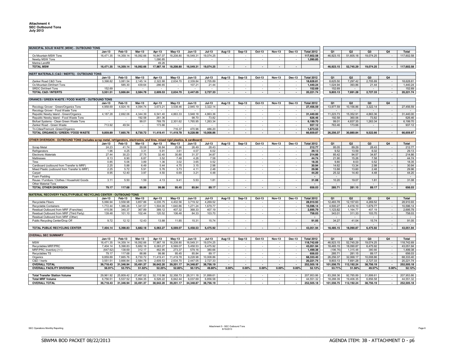| MUNICIPAL SOLID WASTE (MSW) - OUTBOUND TONS                                                                                      |                    |                    |                    |           |                       |                    |                     |                          |                                |                          |                          |                          |                         |                      |                      |                    |                          |                         |
|----------------------------------------------------------------------------------------------------------------------------------|--------------------|--------------------|--------------------|-----------|-----------------------|--------------------|---------------------|--------------------------|--------------------------------|--------------------------|--------------------------|--------------------------|-------------------------|----------------------|----------------------|--------------------|--------------------------|-------------------------|
|                                                                                                                                  | <b>Jan-13</b>      | Feb-13             | <b>Mar-13</b>      | Apr-13    | $May-13$              | Jun-13             | $Jul-13$            | Aug-13                   | <b>Sep-13</b>                  | Oct-13                   | <b>Nov-13</b>            | Dec-13                   | <b>Total 2012</b>       | O <sub>1</sub>       | Q2                   | Q <sub>3</sub>     | Q <sub>4</sub>           | <b>Total</b>            |
| Ox Mountain MSW Tons                                                                                                             | 16.471.35          | 14,359.14          | 16.092.66          | 16.847.07 | 18,208.80             | 16.549.31          | 19.074.25           |                          |                                |                          |                          |                          | 117.602.58              | 46.923.15            | 51,605.18            | 19.074.25          |                          | 117.602.58              |
| Newby MSW Tons                                                                                                                   |                    | $\sim$             | $\sim$             | 1,090.85  | $\sim$                | $\sim$             | $\sim$              | $\sim$                   | ٠                              | $\sim$                   | $\sim$                   | $\sim$                   | 1,090.85                |                      |                      |                    |                          |                         |
| Marina Landfil                                                                                                                   |                    |                    |                    | 49.26     |                       |                    |                     |                          |                                |                          |                          |                          |                         |                      |                      |                    |                          |                         |
| <b>TOTAL MSW</b>                                                                                                                 | 16.471.35          | 14.359.14          | 16,092.66          | 17,987.18 | 18.208.80             | 16.549.31          | 19.074.25           | $\overline{a}$           | $\sim$                         | $\sim$                   | $\sim$                   | $\overline{\phantom{a}}$ |                         | 46.923.15            | 52.745.29            | 19.074.25          | $\overline{\phantom{a}}$ | 117.602.58              |
|                                                                                                                                  |                    |                    |                    |           |                       |                    |                     |                          |                                |                          |                          |                          |                         |                      |                      |                    |                          |                         |
| INERT MATERIALS (C&D / INERTS) - OUTBOUND TONS                                                                                   |                    |                    |                    |           |                       |                    |                     |                          |                                |                          |                          |                          |                         |                      |                      |                    |                          |                         |
|                                                                                                                                  | $Jan-13$           | Feb-13             | <b>Mar-13</b>      | Apr-13    | $May-13$              | Jun-13             | $Jul-13$            | Aug-13                   | <b>Sep-13</b>                  | Oct-13                   | <b>Nov-13</b>            | Dec-13                   | <b>Total 2012</b>       | Q1                   | Q <sub>2</sub>       | Q3                 | Q <sub>4</sub>           |                         |
| Zanker Road C&D Tons                                                                                                             | 3.398.82           | 3.081.54           | 2.145.14           | 2.322.88  | 2.634.70              | 2.339.84           | 2.705.89            |                          |                                |                          |                          |                          | 18.628.81               | 8.625.50             | 7.297.42             | 2.705.89           |                          | 18.628.81               |
| Ox Mountain Dirt/Inert Tons                                                                                                      |                    | 585.30             | 439.64             | 286.65    | $\sim$                | 107.21             | 21.44               | $\sim$                   | ٠                              | $\sim$                   | $\sim$                   | $\sim$                   | 1,440.24                | 1,024.94             | 393.86               | 21.44              | $\overline{\phantom{a}}$ | 1,440.24                |
| <b>SRDC Dirt/Inert Tons</b>                                                                                                      | 152.69             |                    |                    |           |                       |                    |                     | ÷                        | ÷.                             | $\sim$                   | $\sim$                   | $\sim$                   | 152.69                  | 152.69               |                      |                    | $\sim$                   | 152.69                  |
| <b>TOTAL C&amp;D / INTERTS</b>                                                                                                   | 3.551.51           | 3.666.84           | 2.584.78           | 2.609.53  | 2.634.70              | 2.447.05           | 2.727.33            | $\overline{a}$           | $\overline{\phantom{a}}$       | $\sim$                   | $\overline{\phantom{a}}$ |                          | 20.221.74               | 9.803.13             | 7.691.28             | 2.727.33           | $\sim$                   | 20.221.74               |
|                                                                                                                                  |                    |                    |                    |           |                       |                    |                     |                          |                                |                          |                          |                          |                         |                      |                      |                    |                          |                         |
| ORANICS / GREEN WASTE / FOOD WASTE - OUTBOUND TONS                                                                               |                    |                    |                    |           |                       |                    |                     |                          |                                |                          |                          |                          |                         |                      |                      |                    |                          |                         |
|                                                                                                                                  | $Jan-13$           | Feb-13             | Mar-13             | Apr-13    | May-13                | Jun-13             | $Jul-13$            | <b>Aug-13</b>            | Sep-13                         | Oct-13                   | <b>Nov-13</b>            | <b>Dec-13</b>            | <b>Total 2012</b>       | Q1                   | Q <sub>2</sub>       | Q3                 | Q4                       |                         |
| Recology Grover - Green/Organics Tons                                                                                            | 4,958.69           | 4,924.16           | 4,094.74           | 3,673.21  | 3,538.46              | 2,945.19           | 3,322.14            |                          |                                |                          |                          |                          | 27,456.59               | 13,977.59            | 10,156.86            | 3,322.14           |                          | 27,456.59               |
| Recology Grover - Food Waste Tons                                                                                                |                    | $\sim$             | $\sim$             |           | $\sim$                | $\sim$             | $\sim$              | $\sim$                   | ٠                              | $\sim$                   | $\sim$                   | $\sim$                   | $\sim$                  | $\sim$               |                      | $\sim$             | $\overline{\phantom{a}}$ | $\sim$                  |
| Republic Newby Island - Green/Organics                                                                                           | 4,187.28           | 2,692.06           | 4,344.39           | 6,541.40  | 4,863.33              | 3,948.18           | 4,863.36            | $\sim$                   | $\omega$                       | $\sim$                   | $\sim$                   | $\sim$                   | 31,440.00               | 11,223.73            | 15,352.91            | 4,863.36           | $\sim$                   | 31,440.00               |
| Republic Newby Island - Food Waste Tons                                                                                          |                    |                    | 192.58             | 261.36    |                       | 98.70              | 73.82               | $\sim$                   | $\sim$                         | $\sim$                   | $\sim$                   |                          | 626.46                  | 192.58               | 360.06               | 73.82              | $\sim$                   | 626.46                  |
| Biofuel Systems - Clean Green Waste Tons                                                                                         |                    |                    | 99.01              | 769.78    | 2,301.62              | 1,765.95           | 1.263.34            | ÷                        | $\omega$                       |                          | $\bar{a}$                |                          | 6.199.70                | 99.01                | 4,837.35             | 1,263.34           | $\sim$                   | 6.199.70                |
| Zanker Road - Green Waste                                                                                                        | 713.92             | 49.54              | $\sim$             | 173.66    | $\sim$                | $\sim$             |                     | $\sim$<br>÷.             | $\overline{\phantom{a}}$<br>÷. | $\sim$<br>÷.             | $\sim$<br>$\sim$         | $\sim$<br>$\sim$         | 937.12                  | 763.46               | 173.66               | $\sim$             | $\sim$                   | 937.12                  |
| Tri-Cities/Fremont -Green/Organics                                                                                               | 9.859.89           | 7.665.76           | 8.730.72           | 11.419.41 | 716.37<br>11.419.78   | 470.96<br>9.228.98 | 486.20<br>10.008.86 | $\overline{\phantom{a}}$ | $\sim$                         | $\blacksquare$           | $\sim$                   | $\sim$                   | 1,673.53<br>66,659.87   | 26.256.37            | 30,880.84            | 9.522.66           | $\overline{\phantom{a}}$ | 66.659.87               |
| TOTAL ORGANICS / GREEN / FOOD WASTE                                                                                              |                    |                    |                    |           |                       |                    |                     |                          |                                |                          |                          |                          |                         |                      |                      |                    |                          |                         |
| OTHER DIVERSION - OUTBOUND TONS (includes scrap metal, refrigerators, electronics, and tires, mixed rigid plastics, & cardboard) |                    |                    |                    |           |                       |                    |                     |                          |                                |                          |                          |                          |                         |                      |                      |                    |                          |                         |
|                                                                                                                                  | <b>Jan-13</b>      | Feb-13             | <b>Mar-13</b>      | Apr-13    | $May-13$              | <b>Jun-13</b>      | $Jul-13$            | Aug-13                   | <b>Sep-13</b>                  | Oct-13                   | <b>Nov-13</b>            | Dec-13                   | <b>Total 2012</b>       | Q1                   | Q <sub>2</sub>       | Q3                 | Q4                       | Total                   |
| Scrap Metal                                                                                                                      | 24.23              | 41.74              | 29.08              | 36.84     | 25.96                 | 26.49              | 28.43               |                          |                                | $\sim$                   |                          |                          | 212.77                  | 95.05                | 89.29                | 28.43              |                          | 212.77                  |
| Refrigerators                                                                                                                    | 1.96               | 4.25               | 3.31               | 5.91      | 3.61                  | 4.07               | 6.02                | $\sim$                   | $\sim$                         | $\sim$                   | $\sim$                   | $\sim$                   | 29.13                   | 9.52                 | 13.59                | 6.02               | $\sim$                   | 29.13                   |
| <b>Electronic Materials</b>                                                                                                      | 27.44              | 30.23              | 27.75              | 32.40     | 30.80                 | 31.37              | 34.87               | $\sim$                   | ÷.                             | $\sim$                   | $\sim$                   | $\sim$                   | 214.86                  | 85.42                | 94.57                | 34.87              | $\sim$                   | 214.86                  |
| Mattresses                                                                                                                       | 8.13               | 6.90               | 6.87               | 3.52      | 7.48                  | 4.26               | 7.58                | ÷.                       | ä,                             |                          |                          |                          | 44.74                   | 21.90                | 15.26                | 7.58               | $\mathcal{L}$            | 44.74                   |
| <b>Tires</b>                                                                                                                     | 0.85               | 5.06               | 3.89               | 1.36      | 3.02                  | 3.65               | 0.52                | $\sim$                   | $\sim$                         | $\sim$                   | $\sim$                   | $\sim$                   | 18.35                   | 9.80                 | 8.03                 | 0.52               | $\overline{\phantom{a}}$ | 18.35                   |
| Cardboard (outbound from Transfer to MRF                                                                                         | 2.25               | 5.88               | 6.49               | 5.44      | 4.75                  | 3.15               | 2.98                | $\sim$                   | $\bar{a}$                      | $\sim$                   | $\sim$                   | $\sim$                   | 30.94                   | 14.62                | 13.34                | 2.98               | $\sim$                   | 30.94                   |
| Mixed Plastic (outbound from Transfer to MRF                                                                                     | 2.25               | 5.72               | 5.91               | 5.76      | 3.73                  | 4.11               | 2.48                |                          | ٠                              |                          |                          |                          | 29.96                   | 13.88                | 13.60                | 2.48               | ÷.                       | 29.96                   |
| Carpet                                                                                                                           | 8.95               | 12.40              | 3.97               | 4.50      | 6.69                  | 3.21               | 4.48                |                          |                                |                          |                          |                          | 44.20                   | 25.32                | 14.40                | 4.48               |                          | 44.20                   |
| Foam Padding                                                                                                                     |                    |                    |                    |           |                       |                    |                     |                          |                                |                          |                          |                          | $\sim$                  | $\sim$               |                      |                    |                          | $\sim$                  |
| Reuse / Furniture / Clothes / Household Goods                                                                                    | 3.11               | 5.50               | 1.59               | 4.13      | 9.41                  | 5.53               | 1.81                | ä,                       | ÷                              | ÷                        | $\sim$                   | $\sim$                   | 31.08                   | 10.20                | 19.07                | 1.81               | $\sim$                   | 31.08                   |
| <b>Other Material Tons</b>                                                                                                       |                    |                    |                    |           |                       |                    |                     |                          |                                |                          |                          |                          |                         |                      |                      |                    | $\overline{\phantom{a}}$ | $\sim$                  |
| TOTAL OTHER DIVERSION                                                                                                            | 79.17              | 117.68             | 88.86              | 99.86     | 95.45                 | 85.84              | 89.17               | $\blacksquare$           | $\overline{\phantom{a}}$       |                          | $\overline{\phantom{a}}$ |                          | 656.03                  | 285.71               | 281.15               | 89.17              | $\overline{\phantom{a}}$ | 656.03                  |
|                                                                                                                                  |                    |                    |                    |           |                       |                    |                     |                          |                                |                          |                          |                          |                         |                      |                      |                    |                          |                         |
| MATERIAL RECOVERY FACILITY/PUBLIC RECYCLING CENTER - OUTBOUND TONS                                                               | $Jan-13$           | <b>Feb-13</b>      | <b>Mar-13</b>      | Apr-13    | Mav-13                | <b>Jun-13</b>      | $Jul-13$            |                          |                                | Oct-13                   |                          | Dec-13                   | <b>Total 2012</b>       | 01                   | Q2                   | Q3                 | O <sub>4</sub>           | <b>Total</b>            |
|                                                                                                                                  | 5,066.94           | 3,558.98           | 3,857.86           | 4,035.75  | 4.402.56              | 3,719.32           | 4,269.52            | Aug-13                   | <b>Sep-13</b>                  |                          | <b>Nov-13</b>            |                          | 28.910.93               | 12.483.78            | 12,157.63            | 4,269.52           |                          | 28,910.93               |
| Recyclable Fibers                                                                                                                |                    |                    |                    | 1,504.00  |                       | 1,271.24           | 1,679.77            | $\sim$                   | $\sim$                         | $\sim$<br>$\sim$         | $\sim$<br>$\sim$         | $\sim$<br>$\sim$         |                         |                      |                      |                    | $\sim$                   |                         |
| <b>Recyclable Containers</b><br>Residual Outbound from MRF (Franchise)                                                           | 1,772.44<br>415.56 | 1,386.26<br>340.37 | 1,341.57<br>367.89 | 389.12    | 1,640.86<br>407.32    | 368.33             | 407.19              |                          |                                |                          |                          |                          | 10,596.14<br>2,695.79   | 4,500.27<br>1,123.82 | 4,416.10<br>1,164.77 | 1,679.77<br>407.19 | $\sim$                   | 10,596.14<br>2,695.79   |
| Residual Outbound from MRF (Third Party)                                                                                         | 139.48             | 101.10             | 102.44             | 120.52    | 106.48                | 84.33              | 103.70              | $\sim$                   | ٠                              |                          | $\sim$                   |                          | 758.03                  | 343.01               | 311.33               | 103.70             | $\sim$                   | 758.03                  |
| Residual Outbound from MRF (Other)                                                                                               |                    |                    |                    |           |                       |                    |                     |                          |                                |                          |                          |                          | $\sim$                  | $\sim$               | $\sim$               | $\sim$             | $\overline{\phantom{a}}$ | $\sim$                  |
| Public Recycling Center/Drop Of                                                                                                  | 9.72               | 12.12              | 12.43              | 13.88     | 11.85                 | 15.31              | 15.74               | ÷.                       | $\sim$                         | $\sim$                   | $\sim$                   | $\sim$                   | 91.05                   | 34.27                | 41.04                | 15.74              | $\sim$                   | 91.05                   |
|                                                                                                                                  |                    |                    |                    |           |                       |                    |                     |                          |                                |                          |                          |                          |                         |                      |                      |                    |                          |                         |
| TOTAL PUBLIC RECYCLING CENTER                                                                                                    | 7,404.14           | 5.398.83           | 5,682.18           | 6,063.27  | 6,569.07              | 5.458.53           | 6,475.92            | $\overline{\phantom{a}}$ | $\overline{\phantom{a}}$       | $\sim$                   | $\sim$                   | $\sim$                   | 43,051.94               | 18,485.15            | 18,090.87            | 6,475.92           | $\overline{\phantom{a}}$ | 43,051.94               |
|                                                                                                                                  |                    |                    |                    |           |                       |                    |                     |                          |                                |                          |                          |                          |                         |                      |                      |                    |                          |                         |
| <b>OVERALL SEC SUMMARY</b>                                                                                                       |                    |                    |                    |           |                       |                    |                     |                          |                                |                          |                          |                          |                         |                      |                      |                    |                          |                         |
|                                                                                                                                  | $Jan-13$           | <b>Feb-13</b>      | <b>Mar-13</b>      | Apr-13    | <b>Mav-13</b>         | <b>Jun-13</b>      | $Jul-13$            | Aug-13                   | <b>Sep-13</b>                  | Oct-13                   | <b>Nov-13</b>            | Dec-13                   | <b>Total 2012</b>       | O <sub>1</sub>       | Q2                   | O <sub>3</sub>     | Q4                       | Total                   |
| <b>MSW</b>                                                                                                                       | 16,471.35          | 14,359.14          | 16,092.66          | 17,987.18 | 18,208.80             | 16,549.31          | 19,074.25           |                          |                                |                          |                          |                          | 118,742.69              | 46,923.15            | 52,745.29            | 19,074.25          | $\overline{\phantom{a}}$ | 118,742.69              |
| Recyclables MRF/PRC                                                                                                              | 7.404.14           | 5,398.83           | 5,682.18           | 6,063.27  | 6,569.07              | 5,458.53           | 6,475.92            | $\sim$                   | $\sim$                         | $\sim$                   | $\sim$                   | $\sim$                   | 43.051.94               | 18,485.15            | 18,090.87            | 6,475.92           | $\sim$                   | 43,051.94               |
| MRF/PRC Inventory (+/-)                                                                                                          | (647.62            | 138.69             | 312.17             | 462.95    | 273.37                | 579.16             | 380.66              | $\sim$                   | $\equiv$                       | $\sim$                   | $\sim$                   |                          | 1.499.38                | (196.76              | 1.315.48             | 380.66             | $\mathcal{L}$            | 1.499.38                |
| Recyclables TS                                                                                                                   | 79.17              | 117.68             | 88.86              | 99.86     | 95.45                 | 85.84              | 89.17               | $\sim$                   | $\sim$                         | $\sim$                   | $\sim$                   | $\sim$                   | 656.03                  | 285.71               | 281.15               | 89.17              | $\sim$                   | 656.03                  |
| Organics                                                                                                                         | 9.859.89           | 7,665.76           | 8,730.72           | 11.419.41 | 11,419.78             | 9,228.98           | 10,008.86           | $\sim$                   | $\sim$                         | $\sim$                   | $\sim$                   | $\sim$                   | 68.333.40               | 26,256.37            | 32,068.17            | 10,008.86          | $\sim$                   | 68,333.40               |
| C&D / Inerts                                                                                                                     | 3,551.51           | 3,666.84           | 2,584.78           | 2,609.53  | 2,634.70              | 2,447.05           | 2,727.33            | ÷                        | ÷                              | $\sim$                   | $\sim$                   | $\sim$                   | 20,221.74               | 9,803.13             | 7,691.28             | 2,727.33           | $\sim$                   | 20,221.74               |
| <b>OVERALL TOTAL</b>                                                                                                             | 36.718.43          | 31.346.94          | 33.491.37          | 38.642.20 | 39.201.17             | 34.348.87          | 38.756.19           | $\overline{\phantom{a}}$ | $\overline{\phantom{a}}$       | $\sim$                   | $\sim$                   | $\overline{\phantom{a}}$ | 252.505.18              | 101.556.75           | 112.192.24           | 38.756.19          | $\overline{\phantom{a}}$ | 252.505.18              |
| <b>OVERALL FACILITY DIVERSION</b>                                                                                                | 56.91%             | 53.75%             | 51.02%             | 52.25%    | 52.85%                | 50.13%             | 49.80%              | 0.00%                    | 0.00%                          | 0.00%                    | 0.00%                    | 0.00%                    | 52.12%                  | 53.71%               | 51.56%               | 49.57%             | 0.00%                    | 52.12%                  |
|                                                                                                                                  |                    |                    |                    |           |                       |                    |                     |                          |                                |                          |                          |                          |                         |                      |                      |                    |                          |                         |
| <b>Total Transfer Station Volume</b>                                                                                             | 29,961.92          | 25,809.42          | 27,497.02          | 32,115.98 | 32,358.73<br>6.842.44 | 28,311.18          | 31,899.61           | $\sim$                   | ٠                              | $\sim$                   | $\sim$                   |                          | 207,953.86              | 83,268.36            | 92,785.89            | 31,899.61          | $\bar{a}$                | 207,953.86              |
| <b>Total MRF Volume</b>                                                                                                          | 6.756.51           | 5.537.52           | 5.994.35           | 6.526.22  |                       | 6.037.69           | 6.856.58            | $\sim$                   | ٠                              |                          | $\sim$                   | $\sim$                   | 44.551.32<br>252.505.18 | 18.288.39            | 19.406.35            | 6.856.58           | $\sim$                   | 44.551.32<br>252.505.18 |
| <b>OVERALL TOTAL</b>                                                                                                             | 36.718.43          | 31,346.94          | 33,491.37          | 38.642.20 | 39,201.17             | 34.348.87          | 38.756.19           | $\blacksquare$           | $\sim$                         | $\overline{\phantom{a}}$ | $\sim$                   | $\overline{\phantom{a}}$ |                         | 101,556.75           | 112,192.24           | 38.756.19          | $\sim$                   |                         |

BBBBBBBBBBBBBBBBBBBBBBBBBBBBBBBBBBBBBBBBBBBBBBBBBBBBBBBBBBBBBBBBBBBBBBB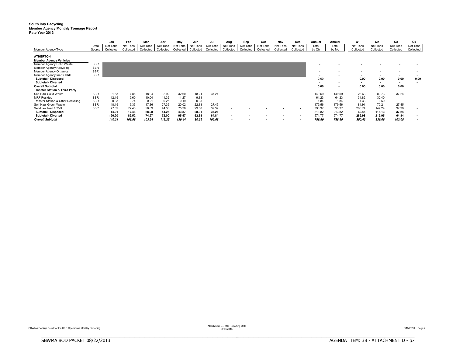### **South Bay Recycling** Member Agency Monthly Tonnage Report<br>Rate Year 2013

|                                           |            | Jan       | Feb       | Mar       | Apr       | May       | Jun       | Jul       | Aug                      | Sep       | Oct       | Nov       | Dec                      | Annual | Annual                   | Q1        | Q <sub>2</sub> | Q3                       | Q4                       |
|-------------------------------------------|------------|-----------|-----------|-----------|-----------|-----------|-----------|-----------|--------------------------|-----------|-----------|-----------|--------------------------|--------|--------------------------|-----------|----------------|--------------------------|--------------------------|
|                                           | Data       | Net Tons  | Net Tons  | Net Tons  | Net Tons  | Net Tons  | Net Tons  | Net Tons  | Net Tons                 | Net Tons  | Net Tons  | Net Tons  | Net Tons                 | Total  | Total                    | Net Tons  | Net Tons       | Net Tons                 | Net Tons                 |
| Member Agency/Type                        | Source     | Collected | Collected | Collected | Collected | Collected | Collected | Collected | Collected                | Collected | Collected | Collected | Collected                | by Qtr | by Mo                    | Collected | Collected      | Collected                | Collected                |
| <b>ATHERTON</b>                           |            |           |           |           |           |           |           |           |                          |           |           |           |                          |        |                          |           |                |                          |                          |
|                                           |            |           |           |           |           |           |           |           |                          |           |           |           |                          |        |                          |           |                |                          |                          |
| <b>Member Agency Vehicles</b>             |            |           |           |           |           |           |           |           |                          |           |           |           |                          |        |                          |           |                |                          |                          |
| Member Agency Solid Waste                 | <b>SBR</b> |           |           |           |           |           |           |           |                          |           |           |           |                          |        |                          |           |                |                          |                          |
| Member Agency Recycling                   | <b>SBR</b> |           |           |           |           |           |           |           |                          |           |           |           |                          |        |                          |           |                |                          |                          |
| <b>Member Agency Organics</b>             | <b>SBR</b> |           |           |           |           |           |           |           |                          |           |           |           |                          |        |                          |           |                |                          |                          |
| Member Agency Inert / C&D                 | <b>SBR</b> |           |           |           |           |           |           |           |                          |           |           |           |                          |        |                          | $\sim$    |                | $\overline{\phantom{a}}$ | $\overline{\phantom{a}}$ |
| Subtotal - Disposed                       |            |           |           |           |           |           |           |           |                          |           |           |           |                          | 0.00   | $\overline{\phantom{a}}$ | 0.00      | 0.00           | 0.00                     | 0.00                     |
| Subtotal - Diverted                       |            |           |           |           |           |           |           |           |                          |           |           |           |                          |        | $\overline{\phantom{a}}$ | $\sim$    |                | $\overline{\phantom{a}}$ |                          |
| <b>Overall Subtotal</b>                   |            |           |           |           |           |           |           |           |                          |           |           |           |                          | 0.00   | $\overline{\phantom{a}}$ | 0.00      | 0.00           | 0.00                     |                          |
| <b>Transfer Station &amp; Third Party</b> |            |           |           |           |           |           |           |           |                          |           |           |           |                          | $\sim$ |                          |           |                |                          |                          |
| Self-Haul Solid Waste                     | <b>SBR</b> | 1.83      | 7.86      | 18.94     | 32.92     | 32.60     | 18.21     | 37.24     |                          |           |           |           |                          | 149.59 | 149.59                   | 28.63     | 83.73          | 37.24                    |                          |
| <b>MRF Residue</b>                        | <b>SBR</b> | 12.19     | 9.60      | 10.04     | 11.32     | 11.27     | 9.81      |           |                          |           |           |           |                          | 64.23  | 64.23                    | 31.82     | 32.40          | $\sim$                   |                          |
| Transfer Station & Other Recycling        | <b>SBR</b> | 0.38      | 0.74      | 0.21      | 0.26      | 0.19      | 0.05      |           |                          |           |           |           |                          | 1.84   | 1.84                     | 1.33      | 0.50           | $\overline{\phantom{a}}$ | $\overline{\phantom{a}}$ |
| Self-Haul Green Waste                     | <b>SBR</b> | 48.19     | 16.35     | 17.36     | 27.36     | 20.02     | 22.83     | 27.45     | $\overline{\phantom{a}}$ |           |           |           |                          | 179.56 | 179.56                   | 81.91     | 70.21          | 27.45                    | ۰                        |
| Self-Haul Inert / C&D                     | <b>SBR</b> | 77.62     | 72.43     | 56.69     | 44.38     | 75.36     | 29.50     | 37.39     | $\overline{\phantom{a}}$ |           |           |           |                          | 393.37 | 393.37                   | 206.74    | 149.24         | 37.39                    | $\overline{\phantom{a}}$ |
| Subtotal - Disposed                       |            | 14.01     | 17.46     | 28.98     | 44.25     | 43.87     | 28.01     | 37.24     | $\blacksquare$           |           |           |           | $\blacksquare$           | 213.82 | 213.82                   | 60.45     | 116.13         | 37.24                    | $\overline{\phantom{a}}$ |
| Subtotal - Diverted                       |            | 126.20    | 89.52     | 74.27     | 72.00     | 95.57     | 52.38     | 64.84     | $\blacksquare$           |           |           |           | $\overline{\phantom{a}}$ | 574.77 | 574.77                   | 289.98    | 219.95         | 64.84                    | $\overline{\phantom{a}}$ |
| <b>Overall Subtotal</b>                   |            | 140.21    | 106.98    | 103.24    | 116.25    | 139.44    | 80.39     | 102.08    | $\overline{\phantom{a}}$ |           |           |           | $\overline{\phantom{a}}$ | 788.59 | 788.59                   | 350.43    | 336.08         | 102.08                   |                          |

BBBBBBBBBBBBBBBBBBBBBBBBBBBBBBBBBBBBBBBBBBBBBBBBBBBBBBBBBBBBBBBBBBBBBBBBBBBBBB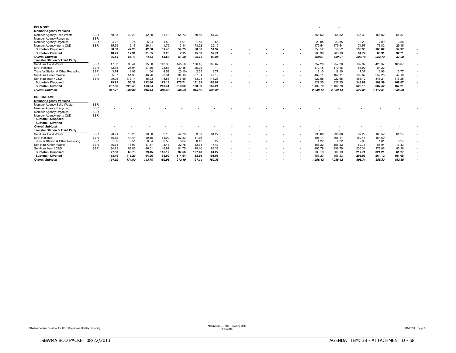| <b>BELMONT</b>                            |            |        |        |        |                          |                          |                          |        |  |  |                          |          |        |          |        |  |
|-------------------------------------------|------------|--------|--------|--------|--------------------------|--------------------------|--------------------------|--------|--|--|--------------------------|----------|--------|----------|--------|--|
| <b>Member Agency Vehicles</b>             |            |        |        |        |                          |                          |                          |        |  |  |                          |          |        |          |        |  |
| Member Agency Solid Waste                 | <b>SBR</b> | 50.33  | 42.20  | 42.80  | 61.43                    | 54.73                    | 50.66                    | 54.37  |  |  | 356.52                   | 356.52   | 135.33 | 166.82   | 54.37  |  |
| <b>Member Agency Recycling</b>            | <b>SBR</b> | $\sim$ |        | $\sim$ | $\overline{\phantom{a}}$ | $\overline{\phantom{a}}$ | $\overline{\phantom{a}}$ |        |  |  | $\overline{\phantom{a}}$ | $\sim$   | $\sim$ | $\sim$   |        |  |
| <b>Member Agency Organics</b>             | <b>SBR</b> | 4.22   | 3.74   | 5.24   | 1.50                     | 4.01                     | 1.58                     | 3.56   |  |  | 23.85                    | 23.85    | 13.20  | 7.09     | 3.56   |  |
| Member Agency Inert / C&D                 | <b>SBR</b> | 35.99  | 9.17   | 26.41  | 1.76                     | 3.14                     | 73.92                    | 29.15  |  |  | 179.54                   | 179.54   | 71.57  | 78.82    | 29.15  |  |
| <b>Subtotal - Disposed</b>                |            | 50.33  | 42.20  | 42.80  | 61.43                    | 54.73                    | 50.66                    | 54.37  |  |  | 356.52                   | 356.52   | 135.33 | 166.82   | 54.37  |  |
| <b>Subtotal - Diverted</b>                |            | 40.21  | 12.91  | 31.65  | 3.26                     | 7.15                     | 75.50                    | 32.71  |  |  | 203.39                   | 203.39   | 84.77  | 85.91    | 32.71  |  |
| <b>Overall Subtotal</b>                   |            | 90.54  | 55.11  | 74.45  | 64.69                    | 61.88                    | 126.16                   | 87.08  |  |  | 559.91                   | 559.91   | 220.10 | 252.73   | 87.08  |  |
| <b>Transfer Station &amp; Third Party</b> |            |        |        |        |                          |                          |                          |        |  |  | $\overline{\phantom{a}}$ | $\sim$   |        |          |        |  |
| Self-Haul Solid Waste                     | <b>SBR</b> | 47.03  | 30.44  | 85.50  | 143.35                   | 145.56                   | 136.45                   | 168.87 |  |  | 757.20                   | 757.20   | 162.97 | 425.37   | 168.87 |  |
| <b>MRF</b> Residue                        | <b>SBR</b> | 32.88  | 25.94  | 27.10  | 28.84                    | 30.15                    | 25.24                    | $\sim$ |  |  | 170.15                   | 170.15   | 85.92  | 84.22    | $\sim$ |  |
| Transfer Station & Other Recycling        | <b>SBR</b> | 3.74   | 1.98   | 1.64   | 4.52                     | (0.10)                   | 2.55                     | 3.77   |  |  | 18.10                    | 18.10    | 7.37   | 6.96     | 3.77   |  |
| Self-Haul Green Waste                     | <b>SBR</b> | 65.07  | 51.33  | 46.26  | 90.31                    | 94.13                    | 67.81                    | 47.19  |  |  | 462.11                   | 462.11   | 162.67 | 252.25   | 47.19  |  |
| Self-Haul Inert / C&D                     | <b>SBR</b> | 199.05 | 173.14 | 85.93  | 118.58                   | 116.59                   | 113.04                   | 116.25 |  |  | 922.58                   | 922.58   | 458.12 | 348.21   | 116.25 |  |
| <b>Subtotal - Disposed</b>                |            | 79.91  | 56.38  | 112.60 | 172.18                   | 175.71                   | 161.69                   | 168.87 |  |  | 927.35                   | 927.35   | 248.89 | 509.59   | 168.87 |  |
| <b>Subtotal - Diverted</b>                |            | 267.86 | 226.46 | 133.84 | 213.41                   | 210.62                   | 183.39                   | 167.21 |  |  | ,402.78                  | 1,402.78 | 628.15 | 607.42   | 167.21 |  |
| <b>Overall Subtotal</b>                   |            | 347.77 | 282.84 | 246.44 | 385.59                   | 386.33                   | 345.09                   | 336.08 |  |  | 2.330.14                 | 2.330.14 | 877.05 | 1.117.01 | 336.08 |  |
| <b>BURLINGAME</b>                         |            |        |        |        |                          |                          |                          |        |  |  |                          |          |        |          |        |  |
| <b>Member Agency Vehicles</b>             |            |        |        |        |                          |                          |                          |        |  |  |                          |          |        |          |        |  |
| Member Agency Solid Waste                 | <b>SBR</b> |        |        |        |                          |                          |                          |        |  |  |                          |          |        |          |        |  |
| <b>Member Agency Recycling</b>            | <b>SBR</b> |        |        |        |                          |                          |                          |        |  |  |                          |          |        |          |        |  |
| <b>Member Agency Organics</b>             | <b>SBR</b> |        |        |        |                          |                          |                          |        |  |  |                          |          |        |          |        |  |
| Member Agency Inert / C&D                 | <b>SBR</b> |        |        |        |                          |                          |                          |        |  |  |                          |          |        |          |        |  |
| <b>Subtotal - Disposed</b>                |            |        |        |        |                          |                          |                          |        |  |  |                          |          |        |          |        |  |
| <b>Subtotal - Diverted</b>                |            |        |        |        |                          |                          |                          |        |  |  |                          |          |        |          |        |  |
| <b>Overall Subtotal</b>                   |            |        |        |        |                          |                          |                          |        |  |  |                          |          |        |          |        |  |
| <b>Transfer Station &amp; Third Party</b> |            |        |        |        |                          |                          |                          |        |  |  |                          |          |        |          |        |  |
| Self-Haul Solid Waste                     | <b>SBR</b> | 20.71  | 16.28  | 30.30  | 62.16                    | 44.73                    | 59.63                    | 61.27  |  |  | 295.08                   | 295.08   | 67.29  | 166.52   | 61.27  |  |
| <b>MRF</b> Residue                        | <b>SBR</b> | 56.82  | 44.44  | 49.15  | 54.00                    | 52.83                    | 47.86                    |        |  |  | 305.11                   | 305.11   | 150.41 | 154.69   |        |  |
| Transfer Station & Other Recycling        | <b>SBR</b> | 1.89   | 0.51   | 0.54   | 0.55                     | 0.04                     | 0.42                     | 0.27   |  |  | 4.22                     | 4.22     | 2.93   | 1.01     | 0.27   |  |
| Self-Haul Green Waste                     | <b>SBR</b> | 16.71  | 18.93  | 17.11  | 18.46                    | 32.75                    | 33.84                    | 17.43  |  |  | 155.22                   | 155.22   | 52.75  | 85.04    | 17.43  |  |
| Self-Haul Inert / C&D                     | <b>SBR</b> | 94.89  | 93.85  | 46.61  | 46.91                    | 81.75                    | 49.40                    | 83.38  |  |  | 496.79                   | 496.79   | 235.34 | 178.06   | 83.38  |  |
| <b>Subtotal - Disposed</b>                |            | 77.53  | 60.73  | 79.45  | 116.17                   | 97.56                    | 107.48                   | 61.27  |  |  | 600.19                   | 600.19   | 217.71 | 321.21   | 61.27  |  |
| <b>Subtotal - Diverted</b>                |            | 113.49 | 113.29 | 64.26  | 65.92                    | 114.54                   | 83.66                    | 101.08 |  |  | 656.23                   | 656.23   | 291.03 | 264.12   | 101.08 |  |
| <b>Overall Subtotal</b>                   |            | 191.02 | 174.02 | 143.70 | 182.08                   | 212.10                   | 191.14                   | 162.35 |  |  | 1.256.42                 | 1.256.42 | 508.74 | 585.33   | 162.35 |  |

BBBBBBBBBBBBBBBBBBBBBBBBBBBBBBBBBBBBBBBBBBBBBBBBBBBBBBBBBBBBBBBBBBBBBBBBBBBBBB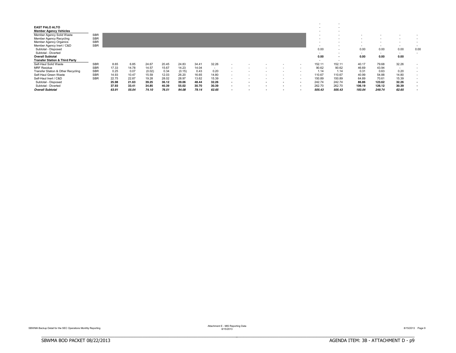| <b>EAST PALO ALTO</b><br><b>Member Agency Vehicles</b><br>Member Agency Solid Waste<br><b>Member Agency Recycling</b><br><b>Member Agency Organics</b> | <b>SBR</b><br><b>SBR</b><br><b>SBR</b> |       |       |        |       |        |       |       |                          |  |        |                        | $\overline{\phantom{a}}$                             |                                  |                                          |                                                                      |                          |
|--------------------------------------------------------------------------------------------------------------------------------------------------------|----------------------------------------|-------|-------|--------|-------|--------|-------|-------|--------------------------|--|--------|------------------------|------------------------------------------------------|----------------------------------|------------------------------------------|----------------------------------------------------------------------|--------------------------|
| Member Agency Inert / C&D<br>Subtotal - Disposed<br>Subtotal - Diverted<br><b>Overall Subtotal</b>                                                     | <b>SBR</b>                             |       |       |        |       |        |       |       |                          |  |        | 0.00<br>$\sim$<br>0.00 | $\overline{\phantom{a}}$<br>$\overline{\phantom{a}}$ | $\sim$<br>0.00<br>$\sim$<br>0.00 | 0.00<br>$\overline{\phantom{a}}$<br>0.00 | $\overline{\phantom{a}}$<br>0.00<br>$\overline{\phantom{a}}$<br>0.00 | 0.00                     |
| <b>Transfer Station &amp; Third Party</b>                                                                                                              |                                        |       |       |        |       |        |       |       |                          |  |        | $\sim$                 | $\sim$                                               |                                  |                                          |                                                                      |                          |
| Self-Haul Solid Waste                                                                                                                                  | <b>SBR</b>                             | 8.65  | 6.85  | 24.67  | 20.45 | 24.83  | 34.41 | 32.26 |                          |  |        | 152.11                 | 152.11                                               | 40.17                            | 79.68                                    | 32.26                                                                | $\overline{\phantom{a}}$ |
| <b>MRF Residue</b>                                                                                                                                     | <b>SBR</b>                             | 17.33 | 14.78 | 14.57  | 15.67 | 14.23  | 14.04 |       |                          |  |        | 90.62                  | 90.62                                                | 46.69                            | 43.94                                    | $\sim$                                                               | $\sim$                   |
| Transfer Station & Other Recycling                                                                                                                     | <b>SBR</b>                             | 0.25  | 0.07  | (0.02) | 0.34  | (0.15) | 0.43  | 0.20  | $\sim$                   |  |        | 1.14                   | 1.14                                                 | 0.31                             | 0.63                                     | 0.20                                                                 | $\sim$                   |
| Self-Haul Green Waste                                                                                                                                  | <b>SBR</b>                             | 14.93 | 10.47 | 15.59  | 12.03 | 26.20  | 16.65 | 14.80 | $\overline{\phantom{a}}$ |  | $\sim$ | 110.67                 | 110.67                                               | 40.99                            | 54.88                                    | 14.80                                                                | $\sim$                   |
| Self-Haul Inert / C&D                                                                                                                                  | <b>SBR</b>                             | 22.75 | 22.87 | 19.28  | 28.02 | 28.97  | 13.62 | 15.39 | $\sim$                   |  |        | 150.89                 | 150.89                                               | 64.89                            | 70.61                                    | 15.39                                                                | $\overline{\phantom{a}}$ |
| Subtotal - Disposed                                                                                                                                    |                                        | 25.98 | 21.63 | 39.25  | 36.12 | 39.06  | 48.44 | 32.26 |                          |  |        | 242.74                 | 242.74                                               | 86.86                            | 123.62                                   | 32.26                                                                | $\overline{\phantom{a}}$ |
| Subtotal - Diverted                                                                                                                                    |                                        | 37.93 | 33.41 | 34.85  | 40.39 | 55.02  | 30.70 | 30.39 |                          |  |        | 262.70                 | 262.70                                               | 106.19                           | 126.12                                   | 30.39                                                                | $\sim$                   |
| <b>Overall Subtotal</b>                                                                                                                                |                                        | 63.91 | 55.04 | 74.10  | 76.51 | 94.08  | 79.14 | 62.65 |                          |  |        | 505.43                 | 505.43                                               | 193.04                           | 249.74                                   | 62.65                                                                |                          |

Attachment E - MIS Reporting Data<br>8/15/2013 Page 9

BBBBBBBBBBBBBBBBBBBBBBBBBBBBBBBBBBBBBBBBBBBBBBBBBBBBBBBBBBBBBBBBBBBBBBBBBBBBBB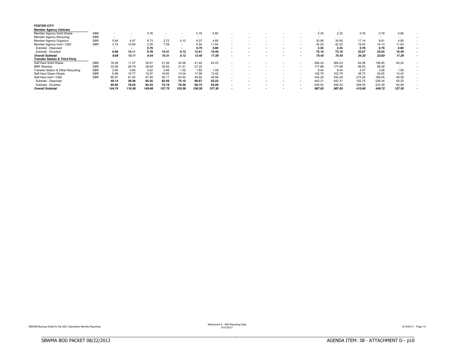| <b>FOSTER CITY</b><br><b>Member Agency Vehicles</b> |            |        |        |                          |        |        |        |                          |  |  |     | $\sim$ |        |        |        |        |  |
|-----------------------------------------------------|------------|--------|--------|--------------------------|--------|--------|--------|--------------------------|--|--|-----|--------|--------|--------|--------|--------|--|
| Member Agency Solid Waste                           | <b>SBR</b> |        |        | 0.76                     |        |        | 0.79   | 0.80                     |  |  |     | 2.35   | 2.35   | 0.76   | 0.79   | 0.80   |  |
| Member Agency Recycling                             | <b>SBR</b> | $\sim$ | $\sim$ | $\overline{\phantom{a}}$ |        | $\sim$ | $\sim$ | $\sim$                   |  |  |     |        | $\sim$ |        | $\sim$ |        |  |
| <b>Member Agency Organics</b>                       | <b>SBR</b> | 5.94   | 4.47   | 6.73                     | 2.72   | 0.12   | 6.07   | 4.85                     |  |  |     | 30.90  | 30.90  | 17.14  | 8.91   | 4.85   |  |
| Member Agency Inert / C&D                           | <b>SBR</b> | 3.74   | 10.64  | 2.05                     | 7.59   |        | 6.54   | 11.64                    |  |  |     | 42.20  | 42.20  | 16.43  | 14.13  | 11.64  |  |
| Subtotal - Disposed                                 |            | ۰.     | . .    | 0.76                     |        |        | 0.79   | 0.80                     |  |  |     | 2.35   | 2.35   | 0.76   | 0.79   | 0.80   |  |
| Subtotal<br>- Diverted                              |            | 9.68   | 15.11  | 8.78                     | 10.31  | 0.12   | 12.61  | 16.49                    |  |  |     | 73.10  | 73.10  | 33.57  | 23.04  | 16.49  |  |
| <b>Overall Subtotal</b>                             |            | 9.68   | 15.11  | 9.54                     | 10.31  | 0.12   | 13.40  | 17.29                    |  |  |     | 75.45  | 75.45  | 34.33  | 23.83  | 17.29  |  |
| <b>Transfer Station &amp; Third Party</b>           |            |        |        |                          |        |        |        |                          |  |  |     | $\sim$ | $\sim$ |        |        |        |  |
| Self-Haul Solid Waste                               | <b>SBR</b> | 16.08  | 11.57  | 36.61                    | 51.94  | 43.59  | 41.42  | 63.22                    |  |  |     | 264.43 | 264.43 | 64.26  | 136.95 | 63.22  |  |
| <b>MRF Residue</b>                                  | <b>SBR</b> | 33.06  | 26.79  | 28.64                    | 30.62  | 31.51  | 27.25  | $\overline{\phantom{a}}$ |  |  |     | 177.88 | 177.88 | 88.50  | 89.38  |        |  |
| Transfer Station & Other Recycling                  | <b>SBR</b> | 2.65   | 0.80   | 0.62                     | 0.46   | 1.02   | 1.80   | 1.09                     |  |  |     | 8.44   | 8.44   | 4.07   | 3.28   | 1.09   |  |
| Self-Haul Green Waste                               | <b>SBR</b> | 6.98   | 15.77  | 15.97                    | 18.62  | 14.04  | 17.99  | 13.42                    |  |  |     | 102.79 | 102.79 | 38.72  | 50.65  | 13.42  |  |
| Self-Haul Inert / C&D                               | <b>SBR</b> | 85.97  | 61.45  | 67.84                    | 56.11  | 63.42  | 49.92  | 49.58                    |  |  |     | 434.29 | 434.29 | 215.26 | 169.45 | 49.58  |  |
| Subtotal - Disposed                                 |            | 49.14  | 38.36  | 65.25                    | 82.56  | 75.10  | 68.67  | 63.22                    |  |  |     | 442.31 | 442.31 | 152.75 | 226.34 | 63.22  |  |
| - Diverted<br>Subtotal                              |            | 95.60  | 78.02  | 84.43                    | 75.19  | 78.48  | 69.72  | 64.09                    |  |  | . . | 545.52 | 545.52 | 258.05 | 223.39 | 64.09  |  |
| <b>Overall Subtotal</b>                             |            | 144.74 | 116.38 | 149.68                   | 157.75 | 153.58 | 138.39 | 127.30                   |  |  |     | 987.83 | 987.83 | 410.80 | 449.72 | 127.30 |  |

BBBBBBBBBBBBBBBBBBBBBBBBBBBBBBBBBBBBBBBBBBBBBBBBBBBBBBBBBBBBBBBBBBBBBBBBBBBBBB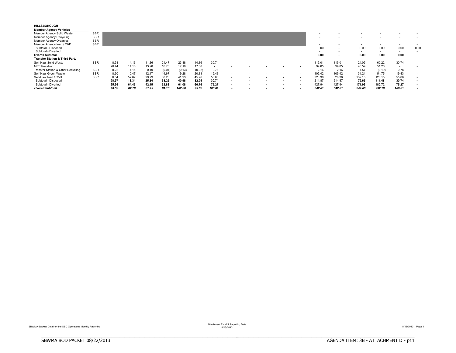| <b>HILLSBOROUGH</b><br><b>Member Agency Vehicles</b> |            |       |       |       |        |        |        |        |                          |  |   | $\overline{\phantom{a}}$ |        |        |        |                          |      |
|------------------------------------------------------|------------|-------|-------|-------|--------|--------|--------|--------|--------------------------|--|---|--------------------------|--------|--------|--------|--------------------------|------|
| Member Agency Solid Waste                            | <b>SBR</b> |       |       |       |        |        |        |        |                          |  |   |                          |        |        |        |                          |      |
| Member Agency Recycling                              | <b>SBR</b> |       |       |       |        |        |        |        |                          |  |   |                          |        |        |        |                          |      |
| <b>Member Agency Organics</b>                        | <b>SBR</b> |       |       |       |        |        |        |        |                          |  |   |                          |        |        |        |                          |      |
| Member Agency Inert / C&D                            | <b>SBR</b> |       |       |       |        |        |        |        |                          |  |   | $\sim$                   |        | $\sim$ |        | $\overline{\phantom{a}}$ |      |
| Subtotal - Disposed                                  |            |       |       |       |        |        |        |        |                          |  |   | 0.00                     |        | 0.00   | 0.00   | 0.00                     | 0.00 |
| Subtotal - Diverted                                  |            |       |       |       |        |        |        |        |                          |  |   | $\sim$                   |        | $\sim$ |        | $\overline{\phantom{a}}$ |      |
| <b>Overall Subtotal</b>                              |            |       |       |       |        |        |        |        |                          |  |   | 0.00                     |        | 0.00   | 0.00   | 0.00                     |      |
| <b>Transfer Station &amp; Third Party</b>            |            |       |       |       |        |        |        |        |                          |  |   | $\sim$                   |        |        |        |                          |      |
| Self-Haul Solid Waste                                | <b>SBR</b> | 8.53  | 4.16  | 11.36 | 21.47  | 23.88  | 14.86  | 30.74  |                          |  | ۰ | 115.01                   | 115.01 | 24.05  | 60.22  | 30.74                    |      |
| <b>MRF Residue</b>                                   |            | 20.44 | 14.18 | 13.98 | 16.78  | 17.10  | 17.38  |        |                          |  | - | 99.85                    | 99.85  | 48.59  | 51.26  | $\overline{\phantom{a}}$ |      |
| Transfer Station & Other Recycling                   | <b>SBR</b> | 0.22  | 1.16  | 0.19  | (0.04) | (0.13) | (0.02) | 0.78   |                          |  | ۰ | 2.16                     | 2.16   | 1.57   | (0.19) | 0.78                     |      |
| Self-Haul Green Waste                                | <b>SBR</b> | 8.60  | 10.47 | 12.17 | 14.67  | 19.28  | 20.81  | 19.43  | $\overline{\phantom{a}}$ |  | - | 105.42                   | 105.42 | 31.24  | 54.75  | 19.43                    |      |
| Self-Haul Inert / C&D                                | <b>SBR</b> | 56.54 | 52.82 | 29.79 | 38.26  | 41.93  | 45.96  | 55.06  | $\overline{\phantom{a}}$ |  | - | 320.36                   | 320.36 | 139.15 | 126.15 | 55.06                    |      |
| Subtotal - Disposed                                  |            | 28.97 | 18.34 | 25.34 | 38.25  | 40.98  | 32.25  | 30.74  |                          |  |   | 214.87                   | 214.87 | 72.65  | 111.48 | 30.74                    |      |
| Subtotal - Diverted                                  |            | 65.36 | 64.45 | 42.15 | 52.88  | 61.08  | 66.76  | 75.27  |                          |  |   | 427.94                   | 427.94 | 171.96 | 180.72 | 75.27                    |      |
| <b>Overall Subtotal</b>                              |            | 94.33 | 82.79 | 67.49 | 91.13  | 102.06 | 99.00  | 106.01 | $\overline{\phantom{a}}$ |  |   | 642.81                   | 642.81 | 244.60 | 292.19 | 106.01                   |      |

Attachment E - MIS Reporting Data<br>8/15/2013 Page 11

BBBBBBBBBBBBBBBBBBBBBBBBBBBBBBBBBBBBBBBBBBBBBBBBBBBBBBBBBBBBBBBBBBBBBBBBBBBBBB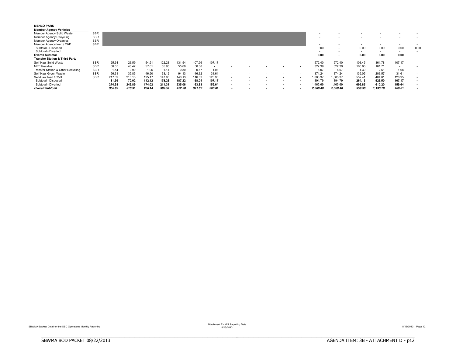| <b>MENLO PARK</b><br><b>Member Agency Vehicles</b> |            |        |        |        |        |        |        |        |                          |  |                          |                          |          |        |          |                          |      |
|----------------------------------------------------|------------|--------|--------|--------|--------|--------|--------|--------|--------------------------|--|--------------------------|--------------------------|----------|--------|----------|--------------------------|------|
| Member Agency Solid Waste                          | <b>SBR</b> |        |        |        |        |        |        |        |                          |  |                          |                          |          |        |          |                          |      |
| Member Agency Recycling                            | <b>SBR</b> |        |        |        |        |        |        |        |                          |  |                          |                          |          |        |          |                          |      |
| Member Agency Organics                             | <b>SBR</b> |        |        |        |        |        |        |        |                          |  |                          |                          |          |        |          |                          |      |
| Member Agency Inert / C&D                          | <b>SBR</b> |        |        |        |        |        |        |        |                          |  |                          | $\overline{\phantom{a}}$ |          | $\sim$ |          | $\overline{\phantom{a}}$ |      |
| Subtotal - Disposed                                |            |        |        |        |        |        |        |        |                          |  |                          | 0.00                     |          | 0.00   | 0.00     | 0.00                     | 0.00 |
| Subtotal - Diverted                                |            |        |        |        |        |        |        |        |                          |  |                          | $\sim$                   |          | $\sim$ | $\sim$   | $\sim$                   |      |
| <b>Overall Subtotal</b>                            |            |        |        |        |        |        |        |        |                          |  |                          | 0.00                     | . .      | 0.00   | 0.00     | 0.00                     |      |
| <b>Transfer Station &amp; Third Party</b>          |            |        |        |        |        |        |        |        |                          |  |                          | $\overline{\phantom{a}}$ |          |        |          |                          |      |
| Self-Haul Solid Waste                              | <b>SBR</b> | 25.34  | 23.59  | 54.51  | 122.28 | 131.54 | 107.96 | 107.17 |                          |  |                          | 572.40                   | 572.40   | 103.45 | 361.78   | 107.17                   |      |
| <b>MRF Residue</b>                                 | <b>SBR</b> | 56.65  | 46.42  | 57.61  | 55.95  | 55.68  | 50.08  |        |                          |  | $\overline{\phantom{a}}$ | 322.39                   | 322.39   | 160.68 | 161.71   | $\overline{\phantom{a}}$ |      |
| Transfer Station & Other Recycling                 | <b>SBR</b> | 1.54   | 0.90   | 1.95   | 1.14   | 0.80   | 0.67   | 1.08   |                          |  |                          | 8.07                     | 8.07     | 4.39   | 2.61     | 1.08                     |      |
| Self-Haul Green Waste                              | <b>SBR</b> | 56.31  | 35.85  | 46.90  | 63.12  | 94.13  | 46.32  | 31.61  |                          |  | $\overline{\phantom{a}}$ | 374.24                   | 374.24   | 139.05 | 203.57   | 31.61                    |      |
| Self-Haul Inert / C&D                              | <b>SBR</b> | 217.09 | 210.15 | 125.17 | 147.05 | 140.13 | 116.83 | 126.95 |                          |  | $\overline{\phantom{a}}$ | 1,083.37                 | 083.37   | 552.41 | 404.01   | 126.95                   |      |
| Subtotal - Disposed                                |            | 81.99  | 70.02  | 112.12 | 178.23 | 187.22 | 158.04 | 107.17 |                          |  |                          | 894.79                   | 894.79   | 264.13 | 523.50   | 107.17                   |      |
| Subtotal - Diverted                                |            | 274.93 | 246.89 | 174.02 | 211.31 | 235.06 | 163.83 | 159.64 |                          |  |                          | 1,465.69                 | 1,465.69 | 695.85 | 610.20   | 159.64                   |      |
| <b>Overall Subtotal</b>                            |            | 356.92 | 316.91 | 286.14 | 389.54 | 422.28 | 321.87 | 266.81 | $\overline{\phantom{a}}$ |  |                          | 2,360.48                 | 2,360.48 | 959.98 | 1,133.70 | 266.81                   |      |

Attachment E - MIS Reporting Data<br>8/15/2013 Page 12<br>8/15/2013 Page 12

BBBBBBBBBBBBBBBBBBBBBBBBBBBBBBBBBBBBBBBBBBBBBBBBBBBBBBBBBBBBBBBBBBBBBBBBBBBBBB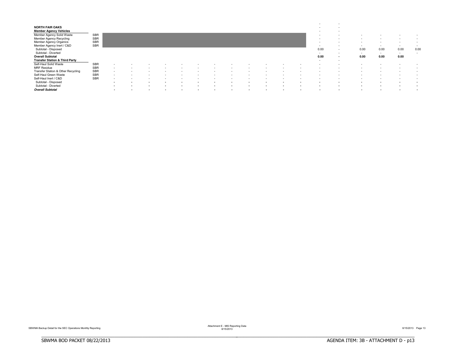| <b>NORTH FAIR OAKS</b><br><b>Member Agency Vehicles</b><br>Member Agency Solid Waste<br>Member Agency Recycling<br>Member Agency Organics<br>Member Agency Inert / C&D | SBR<br><b>SBR</b><br><b>SBR</b><br><b>SBR</b> |                          |                          |                          |                          |        |     |                          |                          |        |                          |                          | $\sim$<br>$\sim$<br>$\overline{\phantom{a}}$<br>$\sim$<br>$\sim$<br>$\sim$ | $\overline{\phantom{a}}$<br>$\overline{\phantom{a}}$<br>$\sim$<br>$\sim$<br>$\sim$<br>$\sim$<br>$\sim$ | $\sim$<br>$\sim$         | $\overline{\phantom{a}}$<br>$\overline{\phantom{a}}$<br>$\overline{\phantom{a}}$<br>$\overline{\phantom{a}}$ | $\sim$<br>$\sim$<br>$\sim$ | $\overline{\phantom{a}}$<br>۰.<br>$\sim$ |
|------------------------------------------------------------------------------------------------------------------------------------------------------------------------|-----------------------------------------------|--------------------------|--------------------------|--------------------------|--------------------------|--------|-----|--------------------------|--------------------------|--------|--------------------------|--------------------------|----------------------------------------------------------------------------|--------------------------------------------------------------------------------------------------------|--------------------------|--------------------------------------------------------------------------------------------------------------|----------------------------|------------------------------------------|
| Subtotal - Disposed<br>Subtotal - Diverted<br><b>Overall Subtotal</b><br><b>Transfer Station &amp; Third Party</b>                                                     |                                               |                          |                          |                          |                          |        |     |                          |                          |        |                          |                          | 0.00<br>$\sim$<br>0.00<br>$\sim$                                           | $\sim$<br>$\sim$<br>$\overline{\phantom{a}}$<br>$\sim$                                                 | 0.00<br>$\sim$<br>0.00   | 0.00<br>$\sim$<br>0.00                                                                                       | 0.00<br>$\sim$<br>0.00     | 0.00<br>۰.                               |
| Self-Haul Solid Waste                                                                                                                                                  | SBR                                           | <b>.</b>                 |                          |                          |                          |        |     |                          |                          |        |                          |                          |                                                                            |                                                                                                        |                          |                                                                                                              |                            |                                          |
| <b>MRF Residue</b>                                                                                                                                                     | <b>SBR</b>                                    | $\overline{a}$           |                          |                          |                          |        |     |                          |                          |        |                          |                          |                                                                            |                                                                                                        |                          |                                                                                                              |                            |                                          |
| Transfer Station & Other Recycling                                                                                                                                     | <b>SBR</b>                                    | $\overline{\phantom{a}}$ | $\overline{\phantom{a}}$ |                          |                          |        |     |                          |                          |        |                          |                          |                                                                            | $\overline{\phantom{a}}$                                                                               |                          | $\overline{\phantom{a}}$                                                                                     | $\overline{\phantom{a}}$   |                                          |
| Self-Haul Green Waste                                                                                                                                                  | <b>SBR</b>                                    | $\overline{\phantom{a}}$ | $\overline{\phantom{a}}$ |                          |                          |        |     |                          |                          |        |                          | $\overline{\phantom{a}}$ |                                                                            | $\overline{\phantom{a}}$                                                                               | $\sim$                   | $\overline{\phantom{a}}$                                                                                     | $\sim$                     | $\overline{\phantom{a}}$                 |
| Self-Haul Inert / C&D                                                                                                                                                  | <b>SBR</b>                                    | $\overline{\phantom{a}}$ | $\overline{\phantom{a}}$ |                          |                          |        |     | $\overline{\phantom{a}}$ | $\overline{\phantom{a}}$ |        |                          | $\overline{\phantom{a}}$ |                                                                            | $\overline{\phantom{a}}$                                                                               |                          | $\overline{\phantom{a}}$                                                                                     | $\sim$                     | ۰.                                       |
| Subtotal - Disposed                                                                                                                                                    |                                               |                          |                          |                          |                          |        |     |                          |                          |        |                          |                          |                                                                            |                                                                                                        |                          | $\blacksquare$                                                                                               | . .                        |                                          |
| Subtotal - Diverted                                                                                                                                                    |                                               | $\sim$                   | . .                      | . .                      | ٠                        | $\sim$ | . . |                          | $\sim$                   | $\sim$ |                          | . .                      |                                                                            | $\blacksquare$                                                                                         | . .                      | $\blacksquare$                                                                                               | $\sim$                     | $\blacksquare$                           |
| <b>Overall Subtotal</b>                                                                                                                                                |                                               | $\overline{\phantom{a}}$ |                          | $\overline{\phantom{a}}$ | $\overline{\phantom{a}}$ |        |     |                          |                          |        | $\overline{\phantom{a}}$ |                          |                                                                            | $\overline{\phantom{a}}$                                                                               | $\overline{\phantom{a}}$ | $\overline{\phantom{a}}$                                                                                     | $\overline{\phantom{a}}$   | $\overline{\phantom{a}}$                 |

BBBBBBBBBBBBBBBBBBBBBBBBBBBBBBBBBBBBBBBBBBBBBBBBBBBBBBBBBBBBBBBBBBBBBBBBBBBBBB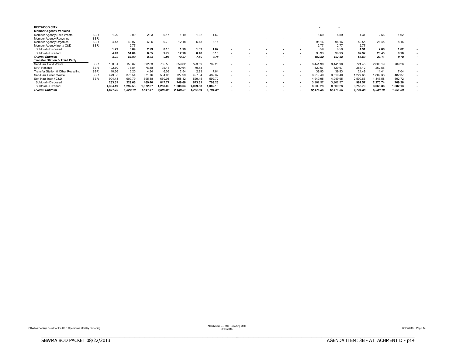| <b>REDWOOD CITY</b>                       |            |          |          |          |                          |                          |          |          |                          |  |        |                          |                          |          |          |          |  |
|-------------------------------------------|------------|----------|----------|----------|--------------------------|--------------------------|----------|----------|--------------------------|--|--------|--------------------------|--------------------------|----------|----------|----------|--|
| <b>Member Agency Vehicles</b>             |            |          |          |          |                          |                          |          |          |                          |  |        |                          |                          |          |          |          |  |
| Member Agency Solid Waste                 | <b>SBR</b> | 1.29     | 0.09     | 2.93     | 0.15                     | 1.19                     | 1.32     | 1.62     |                          |  |        | 8.59                     | 8.59                     | 4.31     | 2.66     | 1.62     |  |
| <b>Member Agency Recycling</b>            | <b>SBR</b> | $\sim$   | $\sim$   | $\sim$   | $\overline{\phantom{a}}$ | $\overline{\phantom{a}}$ | $\sim$   | $\sim$   |                          |  |        | $\overline{\phantom{a}}$ | $\overline{\phantom{a}}$ | $\sim$   | $\sim$   | $\sim$   |  |
| Member Agency Organics                    | <b>SBR</b> | 4.43     | 49.07    | 6.05     | 9.79                     | 12.18                    | 6.48     | 8.16     |                          |  |        | 96.16                    | 96.16                    | 59.55    | 28.45    | 8.16     |  |
| Member Agency Inert / C&D                 | <b>SBR</b> |          | 2.77     | $\sim$   |                          | $\overline{\phantom{a}}$ | $\sim$   | $\sim$   |                          |  | $\sim$ | 2.77                     | 2.77                     | 2.77     | $\sim$   | $\sim$   |  |
| Subtotal - Disposed                       |            | 1.29     | 0.09     | 2.93     | 0.15                     | 1.19                     | 1.32     | 1.62     |                          |  |        | 8.59                     | 8.59                     | 4.31     | 2.66     | 1.62     |  |
| Subtotal - Diverted                       |            | 4.43     | 51.84    | 6.05     | 9.79                     | 12.18                    | 6.48     | 8.16     |                          |  |        | 98.93                    | 98.93                    | 62.32    | 28.45    | 8.16     |  |
| <b>Overall Subtotal</b>                   |            | 5.72     | 51.93    | 8.98     | 9.94                     | 13.37                    | 7.80     | 9.78     | $\overline{\phantom{a}}$ |  |        | 107.52                   | 107.52                   | 66.63    | 31.11    | 9.78     |  |
| <b>Transfer Station &amp; Third Party</b> |            |          |          |          |                          |                          |          |          |                          |  |        |                          |                          |          |          |          |  |
| Self-Haul Solid Waste                     | <b>SBR</b> | 180.81   | 150.82   | 392.83   | 755.58                   | 659.02                   | 593.59   | 709.26   |                          |  |        | 3,441.90                 | 3,441.90                 | 724.45   | 2,008.19 | 709.26   |  |
| <b>MRF Residue</b>                        | <b>SBR</b> | 102.70   | 78.84    | 76.58    | 92.18                    | 90.64                    | 79.73    |          |                          |  | $\sim$ | 520.67                   | 520.67                   | 258.12   | 262.55   |          |  |
| Transfer Station & Other Recycling        | <b>SBR</b> | 10.36    | 6.20     | 4.94     | 6.03                     | 2.54                     | 2.83     | 7.04     |                          |  | $\sim$ | 39.93                    | 39.93                    | 21.49    | 11.41    | 7.04     |  |
| Self-Haul Green Waste                     | <b>SBR</b> | 479.35   | 376.54   | 371.76   | 584.05                   | 727.99                   | 497.34   | 482.37   |                          |  |        | 3,519.40                 | 3,519.40                 | .227.65  | 1,809.38 | 482.37   |  |
| Self-Haul Inert / C&D                     | <b>SBR</b> | 904.48   | 909.79   | 695.38   | 660.0                    | 658.12                   | 529.45   | 592.72   |                          |  |        | 4.949.95                 | 4.949.95                 | 2,509.65 | 1,847.58 | 592.72   |  |
| Subtotal - Disposed                       |            | 283.51   | 229.66   | 469.40   | 847.77                   | 749.66                   | 673.31   | 709.26   |                          |  |        | 3,962.57                 | 3.962.57                 | 982.57   | 2.270.74 | 709.26   |  |
| Subtotal - Diverted                       |            | 1,394.19 | 1.292.53 | 1,072.07 | .250.09                  | 388.64                   | 1.029.63 | 1,082.13 |                          |  |        | 8,509.28                 | 8,509.28                 | 3,758.79 | 3,668.36 | 1,082.13 |  |
| <b>Overall Subtotal</b>                   |            | 1,677.70 | 1,522.19 | 1,541.47 | 2.097.86                 | 2,138.31                 | ,702.94  | 1,791.39 |                          |  |        | 12,471.85                | 12,471.85                | 4,741.36 | 5,939.10 | 1,791.39 |  |

BBBBBBBBBBBBBBBBBBBBBBBBBBBBBBBBBBBBBBBBBBBBBBBBBBBBBBBBBBBBBBBBBBBBBBBBBBBBBB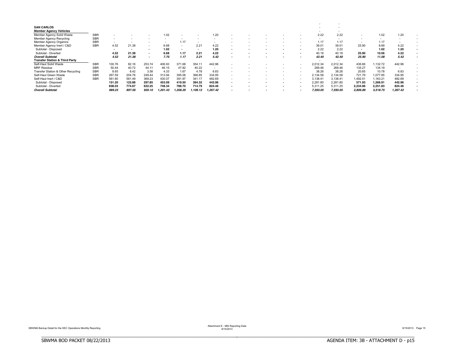| <b>SAN CARLOS</b>                         |            |                          |        |                          |         |                          |         |          |     |  |        |                          |                          |          |          |          |  |
|-------------------------------------------|------------|--------------------------|--------|--------------------------|---------|--------------------------|---------|----------|-----|--|--------|--------------------------|--------------------------|----------|----------|----------|--|
| <b>Member Agency Vehicles</b>             |            |                          |        |                          |         |                          |         |          |     |  |        |                          |                          |          |          |          |  |
| Member Agency Solid Waste                 | <b>SBR</b> |                          |        |                          | 1.02    |                          |         | 1.20     |     |  |        | 2.22                     | 2.22                     |          | 1.02     | 1.20     |  |
| <b>Member Agency Recycling</b>            | <b>SBR</b> | $\overline{\phantom{a}}$ |        |                          |         |                          |         |          |     |  |        | $\overline{\phantom{a}}$ | $\overline{\phantom{a}}$ |          | $\sim$   | $\sim$   |  |
| Member Agency Organics                    | <b>SBR</b> |                          |        | $\overline{\phantom{a}}$ |         | 1.17                     | $\sim$  | $\sim$   |     |  |        | 1.17                     | 1.17                     |          | 1.17     |          |  |
| Member Agency Inert / C&D                 | <b>SBR</b> | 4.52                     | 21.38  | $\sim$                   | 6.68    | $\overline{\phantom{a}}$ | 2.21    | 4.22     |     |  |        | 39.01                    | 39.01                    | 25.90    | 8.89     | 4.22     |  |
| Subtotal - Disposed                       |            |                          |        | . .                      | 1.02    |                          | $\sim$  | 1.20     | . . |  |        | 2.22                     | 2.22                     |          | 1.02     | 1.20     |  |
| Subtotal - Diverted                       |            | 4.52                     | 21.38  | $\overline{\phantom{a}}$ | 6.68    | 1.17                     | 2.21    | 4.22     |     |  |        | 40.18                    | 40.18                    | 25.90    | 10.06    | 4.22     |  |
| <b>Overall Subtotal</b>                   |            | 4.52                     | 21.38  | $\sim$                   | 7.70    | 1.17                     | 2.21    | 5.42     |     |  |        | 42.40                    | 42.40                    | 25.90    | 11.08    | 5.42     |  |
| <b>Transfer Station &amp; Third Party</b> |            |                          |        |                          |         |                          |         |          |     |  |        |                          |                          |          |          |          |  |
| Self-Haul Solid Waste                     | <b>SBR</b> | 100.76                   | 82.16  | 253.74                   | 406.93  | 371.68                   | 354.11  | 442.96   |     |  |        | 2,012.34                 | 2,012.34                 | 436.66   | ,132.72  | 442.96   |  |
| <b>MRF Residue</b>                        | <b>SBR</b> | 50.44                    | 40.72  | 44.11                    | 46.15   | 47.82                    | 40.22   |          |     |  |        | 269.46                   | 269.46                   | 135.27   | 134.19   |          |  |
| Transfer Station & Other Recycling        | <b>SBR</b> | 8.65                     | 8.42   | 3.58                     | 4.33    | 1.67                     | 4.78    | 6.83     |     |  | $\sim$ | 38.26                    | 38.26                    | 20.65    | 10.78    | 6.83     |  |
| Self-Haul Green Waste                     | <b>SBR</b> | 267.59                   | 204.76 | 249.44                   | 313.94  | 395.06                   | 368.85  | 334.95   |     |  |        | 2,134.58                 | 2,134.58                 | 721.79   | 1,077.85 | 334.95   |  |
| Self-Haul Inert / C&D                     | <b>SBR</b> | 561.80                   | 561.49 | 369.23                   | 430.07  | 391.97                   | 341.17  | 482.69   |     |  |        | 3.138.41                 | 3.138.41                 | .492.51  | .163.21  | 482.69   |  |
| Subtotal - Disposed                       |            | 151.20                   | 122.88 | 297.85                   | 453.09  | 419.50                   | 394.32  | 442.96   |     |  |        | 2.281.80                 | 2.281.80                 | 571.93   | 1.266.91 | 442.96   |  |
| Subtotal - Diverted                       |            | 838.03                   | 774.67 | 622.25                   | 748.34  | 788.70                   | 714.79  | 824.46   |     |  |        | 5,311.25                 | 5,311.25                 | 2,234.96 | 2,251.83 | 824.46   |  |
| <b>Overall Subtotal</b>                   |            | 989.23                   | 897.56 | 920.10                   | .201.43 | ,208.20                  | ,109.12 | 1,267.42 |     |  |        | 7,593.05                 | 7,593.05                 | 2,806.89 | 3,518.75 | 1,267.42 |  |

BBBBBBBBBBBBBBBBBBBBBBBBBBBBBBBBBBBBBBBBBBBBBBBBBBBBBBBBBBBBBBBBBBBBBBBBBBBBBB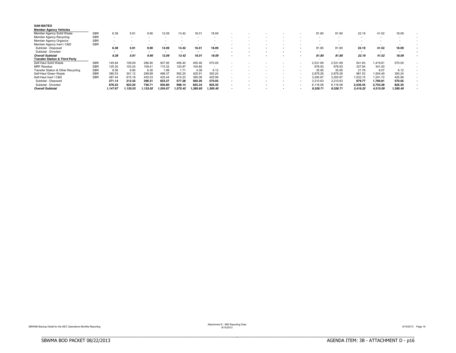| <b>SAN MATEO</b><br><b>Member Agency Vehicles</b> |            |          |          |                          |         |                          |                          |          |  |  |          |          |                          |                          |                          |  |
|---------------------------------------------------|------------|----------|----------|--------------------------|---------|--------------------------|--------------------------|----------|--|--|----------|----------|--------------------------|--------------------------|--------------------------|--|
| Member Agency Solid Waste                         | <b>SBR</b> | 6.38     | 5.91     | 9.90                     | 12.09   | 13.42                    | 16.01                    | 18.09    |  |  | 81.80    | 81.80    | 22.19                    | 41.52                    | 18.09                    |  |
| Member Agency Recycling                           | <b>SBR</b> | $\sim$   | $\sim$   | $\overline{\phantom{a}}$ |         | $\overline{\phantom{a}}$ | $\overline{\phantom{a}}$ |          |  |  |          |          | $\overline{\phantom{a}}$ | $\overline{\phantom{a}}$ | $\overline{\phantom{a}}$ |  |
| Member Agency Organics                            | <b>SBR</b> | -        |          |                          |         |                          |                          |          |  |  |          |          |                          |                          |                          |  |
| Member Agency Inert / C&D                         | <b>SBR</b> |          | $\sim$   | -                        |         |                          | $\overline{\phantom{a}}$ |          |  |  |          |          | $\overline{\phantom{a}}$ | $\overline{\phantom{a}}$ |                          |  |
| Subtotal - Disposed                               |            | 6.38     | 5.91     | 9.90                     | 12.09   | 13.42                    | 16.01                    | 18.09    |  |  | 81.80    | 81.80    | 22.19                    | 41.52                    | 18.09                    |  |
| Subtotal - Diverted                               |            |          |          |                          |         |                          |                          |          |  |  |          | $\sim$   | $\sim$                   |                          |                          |  |
| <b>Overall Subtotal</b>                           |            | 6.38     | 5.91     | 9.90                     | 12.09   | 13.42                    | 16.01                    | 18.09    |  |  | 81.80    | 81.80    | 22.19                    | 41.52                    | 18.09                    |  |
| <b>Transfer Station &amp; Third Party</b>         |            |          |          |                          |         |                          |                          |          |  |  |          |          |                          |                          |                          |  |
| Self-Haul Solid Waste                             | <b>SBR</b> | 145.84   | 109.09   | 286.90                   | 507.95  | 456.40                   | 455.46                   | 570.05   |  |  | 2,531.69 | 2.531.69 | 541.83                   | 1,419.81                 | 570.05                   |  |
| <b>MRF Residue</b>                                | <b>SBR</b> | 125.30   | 103.24   | 109.41                   | 115.32  | 120.87                   | 104.80                   | $\sim$   |  |  | 678.93   | 678.93   | 337.94                   | 341.00                   | $\overline{\phantom{a}}$ |  |
| Transfer Station & Other Recycling                | <b>SBR</b> | 8.56     | 6.90     | 6.30                     | 1.99    | 1.71                     | 4.38                     | 6.12     |  |  | 35.95    | 35.95    | 21.76                    | 8.07                     | 6.12                     |  |
| Self-Haul Green Waste                             | <b>SBR</b> | 380.53   | 301.12   | 299.89                   | 496.37  | 582.20                   | 425.9                    | 393.24   |  |  | 2.879.26 | 2,879.26 | 981.53                   | 1,504.49                 | 393.24                   |  |
| Self-Haul Inert / C&D                             | <b>SBR</b> | 487.44   | 615.18   | 430.53                   | 432.44  | 414.23                   | 395.06                   | 425.99   |  |  | 3.200.87 | 3.200.87 | .533.15                  | .241.72                  | 425.99                   |  |
| Subtotal - Disposed                               |            | 271.14   | 212.32   | 396.31                   | 623.27  | 577.28                   | 560.26                   | 570.05   |  |  | 3.210.63 | 3.210.63 | 879.77                   | 1.760.81                 | 570.05                   |  |
| - Diverted<br>Subtotal -                          |            | 876.53   | 923.20   | 736.71                   | 930.80  | 998.14                   | 825.34                   | 825.35   |  |  | 6,116.08 | 6,116.08 | 2,536.45                 | 2,754.28                 | 825.35                   |  |
| <b>Overall Subtotal</b>                           |            | 1,147.67 | 1.135.53 | ,133.02                  | .554.07 | 1.575.42                 | ,385.60                  | 1.395.40 |  |  | 9,326.71 | 9,326.71 | 3,416.22                 | 4,515.09                 | 1,395.40                 |  |

BBBBBBBBBBBBBBBBBBBBBBBBBBBBBBBBBBBBBBBBBBBBBBBBBBBBBBBBBBBBBBBBBBBBBBBBBBBBBB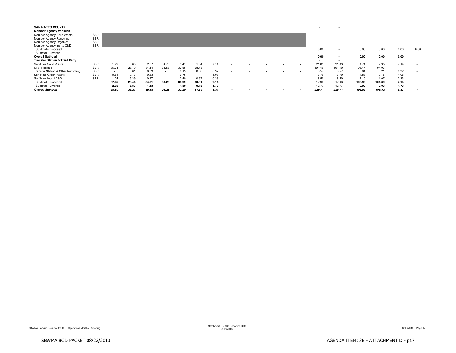| <b>SAN MATEO COUNTY</b>                   |            |        |       |       |                          |       |                          |      |                          |  |  |                          |                          |        |                          |                          |        |
|-------------------------------------------|------------|--------|-------|-------|--------------------------|-------|--------------------------|------|--------------------------|--|--|--------------------------|--------------------------|--------|--------------------------|--------------------------|--------|
| <b>Member Agency Vehicles</b>             |            |        |       |       |                          |       |                          |      |                          |  |  | $\sim$                   |                          |        |                          |                          |        |
| Member Agency Solid Waste                 | <b>SBR</b> |        |       |       |                          |       |                          |      |                          |  |  |                          |                          |        |                          |                          |        |
| <b>Member Agency Recycling</b>            | <b>SBR</b> |        |       |       |                          |       |                          |      |                          |  |  |                          |                          |        |                          |                          |        |
| <b>Member Agency Organics</b>             | <b>SBR</b> |        |       |       |                          |       |                          |      |                          |  |  |                          |                          |        |                          | -                        |        |
| Member Agency Inert / C&D                 | <b>SBR</b> |        |       |       |                          |       |                          |      |                          |  |  | $\overline{\phantom{a}}$ |                          |        |                          | $\overline{\phantom{a}}$ | $\sim$ |
| Subtotal - Disposed                       |            |        |       |       |                          |       |                          |      |                          |  |  | 0.00                     | $\overline{\phantom{a}}$ | 0.00   | 0.00                     | 0.00                     | 0.00   |
| Subtotal - Diverted                       |            |        |       |       |                          |       |                          |      |                          |  |  | $\sim$                   | $\overline{\phantom{a}}$ | $\sim$ | $\overline{\phantom{a}}$ | $\overline{\phantom{a}}$ |        |
| <b>Overall Subtotal</b>                   |            |        |       |       |                          |       |                          |      |                          |  |  | 0.00                     | . .                      | 0.00   | 0.00                     | 0.00                     |        |
| <b>Transfer Station &amp; Third Party</b> |            |        |       |       |                          |       |                          |      |                          |  |  | $\sim$                   | $\sim$                   |        |                          |                          |        |
| Self-Haul Solid Waste                     | <b>SBR</b> | 1.22   | 0.65  | 2.87  | 4.70                     | 3.41  | 1.84                     | 7.14 |                          |  |  | 21.83                    | 21.83                    | 4.74   | 9.95                     | 7.14                     |        |
| <b>MRF Residue</b>                        | SBR        | 36.24  | 28.79 | 31.14 | 33.58                    | 32.58 | 28.78                    |      |                          |  |  | 191.10                   | 191.10                   | 96.17  | 94.93                    | $\sim$                   |        |
| Transfer Station & Other Recycling        | <b>SBR</b> | $\sim$ | 0.01  | 0.03  | $\overline{\phantom{a}}$ | 0.15  | 0.06                     | 0.32 | $\sim$                   |  |  | 0.57                     | 0.57                     | 0.04   | 0.21                     | 0.32                     | $\sim$ |
| Self-Haul Green Waste                     | <b>SBR</b> | 0.81   | 0.43  | 0.63  | ۰.                       | 0.75  | $\overline{\phantom{a}}$ | 1.08 | $\overline{\phantom{a}}$ |  |  | 3.70                     | 3.70                     | 1.88   | 0.75                     | 1.08                     |        |
| Self-Haul Inert / C&D                     | <b>SBR</b> | 1.24   | 5.39  | 0.47  | $\overline{\phantom{a}}$ | 0.40  | 0.67                     | 0.33 | $\overline{\phantom{a}}$ |  |  | 8.50                     | 8.50                     | 7.10   | 1.07                     | 0.33                     |        |
| Subtotal - Disposed                       |            | 37.45  | 29.44 | 34.01 | 38.28                    | 35.99 | 30.61                    | 7.14 | $\overline{\phantom{a}}$ |  |  | 212.93                   | 212.93                   | 100.90 | 104.89                   | 7.14                     |        |
| Subtotal - Diverted                       |            | 2.05   | 5.83  | 1.13  | $\overline{\phantom{a}}$ | 1.30  | 0.73                     | 1.73 | . .                      |  |  | 12.77                    | 12.77                    | 9.02   | 2.03                     | 1.73                     |        |
| <b>Overall Subtotal</b>                   |            | 39.50  | 35.27 | 35.15 | 38.28                    | 37.29 | 31.34                    | 8.87 | $\overline{\phantom{a}}$ |  |  | 225.71                   | 225.71                   | 109.92 | 106.92                   | 8.87                     |        |

Attachment E - MIS Reporting Data<br>8/15/2013 Page 17<br>8/15/2013

BBBBBBBBBBBBBBBBBBBBBBBBBBBBBBBBBBBBBBBBBBBBBBBBBBBBBBBBBBBBBBBBBBBBBBBBBBBBBB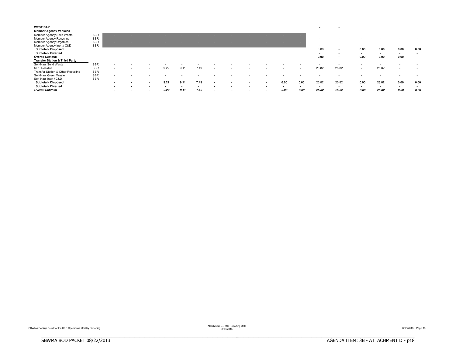|                                           |            |                          |                          |        |      |      |  |                          |                          |        | -                        |        |                          |                          |                          |      |
|-------------------------------------------|------------|--------------------------|--------------------------|--------|------|------|--|--------------------------|--------------------------|--------|--------------------------|--------|--------------------------|--------------------------|--------------------------|------|
| <b>WEST BAY</b>                           |            |                          |                          |        |      |      |  |                          |                          |        | $\overline{\phantom{a}}$ |        |                          |                          |                          |      |
| <b>Member Agency Vehicles</b>             |            |                          |                          |        |      |      |  |                          |                          |        | $\overline{\phantom{a}}$ |        |                          |                          |                          |      |
| Member Agency Solid Waste                 | <b>SBR</b> |                          |                          |        |      |      |  |                          |                          |        |                          |        |                          |                          |                          |      |
| Member Agency Recycling                   | <b>SBR</b> |                          |                          |        |      |      |  |                          |                          |        |                          |        |                          |                          |                          |      |
| Member Agency Organics                    | <b>SBR</b> |                          |                          |        |      |      |  |                          |                          |        |                          |        |                          |                          | $\overline{\phantom{a}}$ |      |
| Member Agency Inert / C&D                 | <b>SBR</b> |                          |                          |        |      |      |  |                          |                          |        |                          |        | $\sim$                   | $\sim$                   | $\sim$                   |      |
| Subtotal - Disposed                       |            |                          |                          |        |      |      |  |                          |                          |        | 0.00                     | $\sim$ | 0.00                     | 0.00                     | 0.00                     | 0.00 |
| <b>Subtotal - Diverted</b>                |            |                          |                          |        |      |      |  |                          |                          |        | $\sim$                   | $\sim$ | $\sim$                   | $\sim$                   | $\sim$                   | . .  |
| <b>Overall Subtotal</b>                   |            |                          |                          |        |      |      |  |                          |                          |        | 0.00                     | $\sim$ | 0.00                     | 0.00                     | 0.00                     |      |
| <b>Transfer Station &amp; Third Party</b> |            |                          |                          |        |      |      |  |                          |                          |        | $\overline{\phantom{a}}$ | $\sim$ |                          |                          |                          |      |
| Self-Haul Solid Waste                     | <b>SBR</b> | $\overline{\phantom{a}}$ |                          |        |      |      |  |                          |                          |        |                          |        | ۰                        |                          |                          |      |
| <b>MRF Residue</b>                        | <b>SBR</b> | $\overline{\phantom{a}}$ |                          | 9.22   | 9.11 | 7.49 |  |                          |                          |        | 25.82                    | 25.82  | $\overline{\phantom{a}}$ | 25.82                    | $\sim$                   |      |
| Transfer Station & Other Recycling        | <b>SBR</b> |                          |                          |        |      |      |  |                          |                          |        |                          |        |                          |                          |                          |      |
| Self-Haul Green Waste                     | SBR        | $\overline{\phantom{a}}$ |                          |        |      |      |  |                          |                          |        |                          |        |                          |                          |                          |      |
| Self-Haul Inert / C&D                     | <b>SBR</b> | $\overline{\phantom{a}}$ | -                        |        |      |      |  |                          | $\overline{\phantom{a}}$ | $\sim$ |                          |        | $\sim$                   | $\overline{\phantom{a}}$ | $\sim$                   |      |
| Subtotal - Disposed                       |            |                          | $\blacksquare$           | 9.22   | 9.11 | 7.49 |  | $\overline{\phantom{a}}$ | 0.00                     | 0.00   | 25.82                    | 25.82  | 0.00                     | 25.82                    | 0.00                     | 0.00 |
| Subtotal<br>- Diverted                    |            |                          | $\overline{\phantom{a}}$ | $\sim$ |      |      |  |                          |                          | $\sim$ | $\overline{\phantom{a}}$ | $\sim$ | $\sim$                   | . .                      | . .                      | . .  |
| <b>Overall Subtotal</b>                   |            | $\overline{\phantom{a}}$ | $\overline{\phantom{a}}$ | 9.22   | 9.11 | 7.49 |  | . .                      | 0.00                     | 0.00   | 25.82                    | 25.82  | 0.00                     | 25.82                    | 0.00                     | 0.00 |

BBBBBBBBBBBBBBBBBBBBBBBBBBBBBBBBBBBBBBBBBBBBBBBBBBBBBBBBBBBBBBBBBBBBBBBBBBBBBB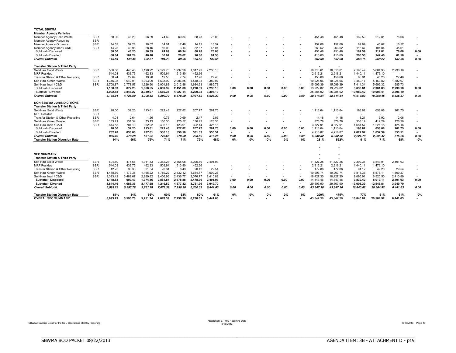| <b>TOTAL SBWMA</b>                                                            |            |                          |          |                          |          |                          |          |          |        |                          |      |        |                          |           |           |           |           |          |                          |
|-------------------------------------------------------------------------------|------------|--------------------------|----------|--------------------------|----------|--------------------------|----------|----------|--------|--------------------------|------|--------|--------------------------|-----------|-----------|-----------|-----------|----------|--------------------------|
| <b>Member Agency Vehicles</b>                                                 |            |                          |          |                          |          |                          |          |          |        |                          |      |        |                          |           |           |           |           |          |                          |
| Member Agency Solid Waste                                                     | <b>SBR</b> | 58.00                    | 48.20    | 56.39                    | 74.69    | 69.34                    | 68.78    | 76.08    |        |                          |      |        |                          | 451.48    | 451.48    | 162.59    | 212.81    | 76.08    |                          |
| <b>Member Agency Recycling</b>                                                | <b>SBR</b> | $\sim$                   | $\sim$   | $\sim$                   | - 11     | $\overline{\phantom{a}}$ | $\sim$   | $\sim$   |        |                          |      |        |                          | $\sim$    | $\sim$    | $\sim$    | $\sim$    | $\sim$   |                          |
| <b>Member Agency Organics</b>                                                 | <b>SBR</b> | 14.59                    | 57.28    | 18.02                    | 14.01    | 17.48                    | 14.13    | 16.57    |        |                          |      |        |                          | 152.08    | 152.08    | 89.89     | 45.62     | 16.57    | $\sim$                   |
| Member Agency Inert / C&D                                                     | <b>SBR</b> | 44.25                    | 43.96    | 28.46                    | 16.03    | 3.14                     | 82.67    | 45.01    |        |                          |      |        |                          | 263.52    | 263.52    | 116.67    | 101.84    | 45.01    |                          |
| Subtotal - Disposed                                                           |            | 58.00                    | 48.20    | 56.39                    | 74.69    | 69.34                    | 68.78    | 76.08    |        |                          |      |        |                          | 451.48    | 451.48    | 162.59    | 212.81    | 76.08    | 0.00                     |
| Subtotal - Diverted                                                           |            | 58.84                    | 101.24   | 46.48                    | 30.04    | 20.62                    | 96.80    | 61.58    |        |                          |      |        | $\overline{\phantom{a}}$ | 415.60    | 415.60    | 206.56    | 147.46    | 61.58    | $\sim$                   |
| <b>Overall Subtotal</b>                                                       |            | 116.84                   | 149.44   | 102.87                   | 104.73   | 89.96                    | 165.58   | 137.66   |        |                          |      |        |                          | 867.08    | 867.08    | 369.15    | 360.27    | 137.66   | 0.00                     |
| <b>Transfer Station &amp; Third Party</b>                                     |            |                          |          |                          |          |                          |          |          |        |                          |      |        |                          | $\sim$    |           |           |           |          |                          |
| Self-Haul Solid Waste                                                         | <b>SBR</b> | 556.80                   | 443.48   | 1,198.22                 | .129.75  | 1,937.26                 | 1,817.93 | 2,230.18 |        |                          |      |        |                          | 10,313.61 | 10,313.61 | 2,198.49  | 5,884.93  | 2,230.18 |                          |
| <b>MRF</b> Residue                                                            |            | 544.03                   | 433.75   | 462.33                   | 509.64   | 513.80                   | 452.66   | $\sim$   |        |                          |      |        |                          | 2,916.21  | 2,916.21  | 1,440.11  | 1,476.10  |          |                          |
| Transfer Station & Other Recycling                                            | <b>SBR</b> | 38.24                    | 27.69    | 19.98                    | 19.58    | 7.74                     | 17.96    | 27.48    |        |                          |      |        |                          | 158.68    | 158.68    | 85.91     | 45.28     | 27.48    | $\sim$                   |
| Self-Haul Green Waste                                                         | <b>SBR</b> | 1,345.08                 | 1.042.01 | 1,093.09                 | .638.92  | 2,006.55                 | .518.35  | 1,382.97 |        |                          |      |        | $\overline{\phantom{a}}$ | 10,026.96 | 10.026.96 | 3,480.17  | 5,163.82  | 1,382.97 |                          |
| Self-Haul Inert / C&D                                                         | <b>SBR</b> | 2.708.87                 | 2.778.57 | 1.926.90                 | 2.001.83 | 2.012.86                 | 1.684.63 | 1.985.73 |        | $\sim$                   |      | $\sim$ |                          | 15,099.39 | 15.099.39 | 7.414.34  | 5.699.32  | 1,985.73 |                          |
| Subtotal - Disposed                                                           |            | 1,100.83                 | 877.23   | 1,660.55                 | 2,639.39 | 2,451.06                 | 2,270.59 | 2,230.18 | 0.00   | 0.00                     | 0.00 | 0.00   | 0.00                     | 13,229.82 | 13,229.82 | 3,638.61  | 7,361.03  | 2,230.18 | 0.00                     |
| Subtotal - Diverted                                                           |            | 4.092.18                 | 3.848.27 | 3.039.97                 | 3.660.34 | 4.027.14                 | 3.220.93 | 3.396.19 | $\sim$ | $\overline{\phantom{a}}$ | ۰    | $\sim$ | $\overline{\phantom{a}}$ | 25.285.02 | 25.285.02 | 10.980.42 | 10.908.41 | 3.396.19 | $\sim$                   |
| <b>Overall Subtotal</b>                                                       |            | 5.193.01                 | 4.725.50 | 4.700.52                 | 6.299.72 | 6.478.20                 | 5.491.52 | 5.626.37 | 0.00   | 0.00                     | 0.00 | 0.00   | 0.00                     | 38.514.84 | 38.514.84 | 14.619.03 | 18.269.45 | 5.626.37 | 0.00                     |
| <b>NON-SBWMA JURISIDICITIONS</b><br><b>Transfer Station &amp; Third Party</b> |            |                          |          |                          |          |                          |          |          |        |                          |      |        |                          |           |           |           |           |          |                          |
| Self-Haul Solid Waste                                                         | <b>SBR</b> | 48.00                    | 32.20    | 113.61                   | 222.48   | 227.82                   | 207.77   | 261.75   |        |                          |      |        |                          | 1,113.64  | 1,113.64  | 193.82    | 658.08    | 261.75   |                          |
| <b>MRF</b> Residue                                                            | <b>SBR</b> | $\overline{\phantom{a}}$ | $\sim$   | $\overline{\phantom{a}}$ |          | $\overline{\phantom{a}}$ |          | $\sim$   |        |                          |      |        |                          | $\sim$    |           | $\sim$    | $\sim$    |          |                          |
| Transfer Station & Other Recycling                                            | <b>SBR</b> | 4.01                     | 2.64     | 1.56                     | 0.76     | 0.69                     | 2.47     | 2.06     |        |                          |      |        |                          | 14.18     | 14.18     | 8.21      | 3.92      | 2.06     | $\overline{\phantom{a}}$ |
| Self-Haul Green Waste                                                         | <b>SBR</b> | 133.71                   | 131.34   | 73.13                    | 150.30   | 125.57                   | 136.42   | 126.30   |        |                          |      |        |                          | 876.78    | 876.78    | 338.19    | 412.29    | 126.30   | $\sim$                   |
| Self-Haul Inert / C&D                                                         | <b>SBR</b> | 614.55                   | 704.10   | 362.92                   | 405.13   | 423.91                   | 392.14   | 425.16   | $\sim$ |                          |      | $\sim$ |                          | 3,327.91  | 3,327.91  | 1,681.57  | 1.221.18  | 425.16   |                          |
| Subtotal - Disposed                                                           |            | 48.00                    | 32.20    | 113.61                   | 222.48   | 227.82                   | 207.77   | 261.75   | 0.00   | 0.00                     | 0.00 | 0.00   | 0.00                     | 1,113.64  | 1.113.64  | 193.82    | 658.08    | 261.75   | 0.00                     |
| Subtotal - Diverted                                                           |            | 752.28                   | 838.08   | 437.61                   | 556.18   | 550.18                   | 531.03   | 553.51   | $\sim$ | ۰                        |      | $\sim$ | $\blacksquare$           | 4.218.87  | 4.218.87  | 2.027.97  | 1.637.39  | 553.51   | $\blacksquare$           |
| <b>Overall Subtotal</b>                                                       |            | 800.28                   | 870.28   | 551.22                   | 778.66   | 778.00                   | 738.80   | 815.26   | 0.00   | 0.00                     | 0.00 | 0.00   | 0.00                     | 5.332.52  | 5.332.52  | 2.221.79  | 2.295.47  | 815.26   | 0.00                     |
| <b>Transfer Station Diversion Rate</b>                                        |            | 94%                      | 96%      | 79%                      | 71%      | 71%                      | 72%      | 68%      | 0%     | 0%                       | 0%   | 0%     | 0%                       | 231%      | 552%      | 91%       | 71%       | 68%      | 0%                       |
|                                                                               |            |                          |          |                          |          |                          |          |          |        |                          |      |        |                          |           |           |           |           |          |                          |
|                                                                               |            |                          |          |                          |          |                          |          |          |        |                          |      |        |                          |           |           |           |           |          |                          |
|                                                                               |            |                          |          |                          |          |                          |          |          |        |                          |      |        |                          |           |           |           |           |          |                          |
| <b>SEC SUMMARY</b>                                                            |            |                          |          |                          |          |                          |          |          |        |                          |      |        |                          |           |           |           |           |          |                          |
| <b>Transfer Station &amp; Third Party</b>                                     |            |                          |          |                          |          |                          |          |          |        |                          |      |        |                          |           |           |           |           |          |                          |
| Self-Haul Solid Waste                                                         | <b>SBR</b> | 604.80                   | 475.68   | 1,311.83                 | .352.23  | 2,165.08                 | 2,025.70 | 2,491.93 |        |                          |      |        |                          | 11,427.25 | 11,427.25 | 2,392.31  | 6,543.01  | 2,491.93 |                          |
| <b>MRF</b> Residue                                                            | <b>SBR</b> | 544.03                   | 433.75   | 462.33                   | 509.64   | 513.80                   | 452.66   | $\sim$   |        |                          |      |        |                          | 2,916.21  | 2.916.21  | 1.440.11  | 1.476.10  | $\sim$   | $\sim$                   |
| Transfer Station & Other Recycling                                            | <b>SBR</b> | 42.25                    | 30.33    | 21.54                    | 20.34    | 8.43                     | 20.42    | 29.54    |        |                          |      |        | $\overline{\phantom{a}}$ | 172.86    | 172.86    | 94.12     | 49.20     | 29.54    | $\sim$                   |
| Self-Haul Green Waste                                                         | <b>SBR</b> | 1,478.79                 | 1.173.35 | 1.166.22                 | 1,789.22 | 2,132.12                 | 1.654.77 | .509.27  |        |                          |      |        |                          | 10.903.74 | 10,903.74 | 3.818.36  | 5.576.11  | 1.509.27 |                          |
| Self-Haul Inert / C&D                                                         | <b>SBR</b> | 3.323.42                 | 3.482.67 | 2.289.82                 | 2.406.96 | 2.436.77                 | 2.076.77 | 2.410.89 | $\sim$ | $\overline{\phantom{a}}$ | ۰.   | $\sim$ | $\overline{\phantom{a}}$ | 18.427.30 | 18,427.30 | 9.095.91  | 6.920.50  | 2,410.89 |                          |
| <b>Subtotal - Disposed</b>                                                    |            | 1.148.83                 | 909.43   | 1,774.16                 | 2.861.87 | 2.678.88                 | 2.478.36 | 2.491.93 | 0.00   | 0.00                     | 0.00 | 0.00   | 0.00                     | 14.343.46 | 14,343.46 | 3.832.42  | 8.019.11  | 2.491.93 | 0.00                     |
| Subtotal - Diverted                                                           |            | 4.844.46                 | 4,686.35 |                          | 4.216.52 | 4,577.32                 | 3.751.96 | 3.949.70 | $\sim$ | ٠                        | ۰    | $\sim$ | $\overline{\phantom{a}}$ | 29,503.90 | 29,503.90 |           |           |          | $\mathbf{r}$             |
|                                                                               |            |                          |          | 3,477.58                 |          |                          |          |          |        |                          |      |        |                          |           |           | 13,008.39 | 12,545.81 | 3,949.70 |                          |
| <b>Overall Subtotal</b>                                                       |            | 5.993.29                 | 5.595.78 | 5,251.74                 | 7.078.39 | 7,256.20                 | 6,230.32 | 6.441.63 | 0.00   | 0.00                     | 0.00 | 0.00   | 0.00                     | 43,847.36 | 43,847.36 | 16.840.82 | 20,564.92 | 6,441.63 | 0.00                     |
| <b>Transfer Station Diversion Rate</b>                                        |            | 81%                      | 84%      | 66%                      | 60%      | 63%                      | 60%      | 61%      | 0%     | 0%                       | 0%   | 0%     | 0%                       | 200%      | 475%      | 77%       | 61%       | 61%      | 0%                       |
| <b>OVERAL SEC SUMMARY</b>                                                     |            | 5.993.29                 | 5.595.78 | 5.251.74                 | 7.078.39 | 7.256.20                 | 6.230.32 | 6.441.63 |        |                          |      |        |                          | 43.847.36 | 43.847.36 | 16.840.82 | 20.564.92 | 6.441.63 |                          |

BBBBBBBBBBBBBBBBBBBBBBBBBBBBBBBBBBBBBBBBBBBBBBBBBBBBBBBBBBBBBBBBBBBBBBBBBBBBBB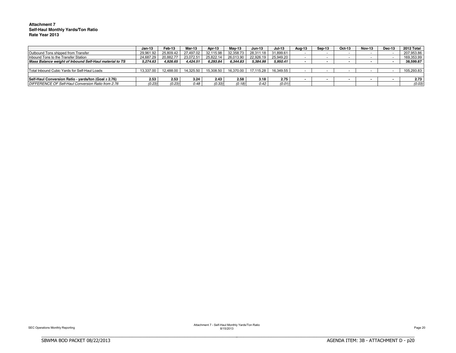#### **Attachment 7 Self-Haul Monthly Yards/Ton Ratio Rate Year 2013**

|                                                         | Jan-13    | Feb-13    | Mar-13    | Apr-13    | Mav-13    | $Jun-13$  | <b>Jul-13</b> | Aug-13 | Sep-13                   | Oct-13 | <b>Nov-13</b> | Dec-13 | 2012 Total |
|---------------------------------------------------------|-----------|-----------|-----------|-----------|-----------|-----------|---------------|--------|--------------------------|--------|---------------|--------|------------|
| Outbound Tons shipped from Transfer                     | 29.961.92 | 25.809.42 | 27.497.02 | 32.115.98 | 32.358.73 | 28.311.18 | 31.899.61     |        | -                        |        |               |        | 207,953.86 |
| Inbound Tons to the Transfer Station                    | 24.687.29 | 20,882.77 | 23.072.5  | 25,822.14 | 26.013.90 | 22.926.19 | 25.949.20     |        |                          |        |               |        | 169,353.99 |
| Mass Balance weight of Inbound Self-Haul material to TS | 5,274.63  | 4.926.65  | 4.424.51  | 6.293.84  | 6.344.83  | 5.384.99  | 5.950.41      |        |                          |        |               |        | 38.599.87  |
|                                                         |           |           |           |           |           |           |               |        |                          |        |               |        |            |
| Total Inbound Cubic Yards for Self-Haul Loads           | 13.337.00 | 12.488.00 | 14.325.50 | 15.308.50 | 16.370.00 | 17.115.28 | 16.349.55     |        | $\overline{\phantom{0}}$ |        |               |        | 105,293.83 |
|                                                         |           |           |           |           |           |           |               |        |                          |        |               |        |            |
| Self-Haul Conversion Ratio - yards/ton (Goal ≥ 2.76)    | 2.53      | 2.53      | 3.24      | 2.43      | 2.58      | 3.18      | 2.75          |        |                          |        |               |        | 2.73       |
| DIFFERENCE OF Self-Haul Conversion Ratio from 2.76      | (0.23)    | (0.23)    | 0.48      | (0.33)    | (0.18)    | 0.42      | (0.01)        |        |                          |        |               |        | (0.03)     |

BBBBBBBBBBBBBBBBBBBBBBBBBBBBBBBBBBBBBBBBBBBBBBBBBBBBBBBBBBBBBBBBBBBBBBBBBBBBBB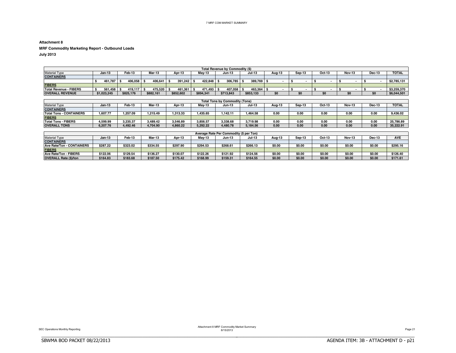### **Attachment 8**

**MRF Commodity Marketing Report - Outbound Loads**

**July 2013**

|                        |             |           |           |           |           | Total Revenue by Commodity (\$) |               |        |        |        |               |               |              |
|------------------------|-------------|-----------|-----------|-----------|-----------|---------------------------------|---------------|--------|--------|--------|---------------|---------------|--------------|
| <b>Material Type</b>   | $Jan-13$    | Feb-13    | Mar-13    | Apr-13    | May-13    | <b>Jun-13</b>                   | <b>Jul-13</b> | Aug-13 | Sep-13 | Oct-13 | <b>Nov-13</b> | <b>Dec-13</b> | <b>TOTAL</b> |
| <b>CONTAINERS</b>      |             |           |           |           |           |                                 |               |        |        |        |               |               |              |
|                        | 461.787     | 406.058   | 406.641   | 391.242   | 422.848   | 306.785                         | $389.769$ .   |        |        |        |               |               | \$2,785,131  |
| <b>FIBERS</b>          |             |           |           |           |           |                                 |               |        |        |        |               |               |              |
| Total Revenue - FIBERS | 561.458     | 419.117   | 475.520   | 461.361   | 471.493   | 407.058                         | 463.364       |        |        |        |               |               | \$3.259.370  |
| <b>OVERALL REVENUE</b> | \$1.023.245 | \$825.176 | \$882.161 | \$852.602 | \$894.341 | \$713.843                       | \$853,133     | \$0    | \$0    | \$0    | s٥            | \$0           | \$6,044,501  |

|                                |          |          |          |          |          | Total Tons by Commodity (Tons) |          |        |        |        |               |        |              |
|--------------------------------|----------|----------|----------|----------|----------|--------------------------------|----------|--------|--------|--------|---------------|--------|--------------|
| <b>Material Type</b>           | Jan-13   | Feb-13   | Mar-13   | Apr-13   | Mav-13   | <b>Jun-13</b>                  | Jul-13   | Aug-13 | Sep-13 | Oct-13 | <b>Nov-13</b> | Dec-13 | <b>TOTAL</b> |
| <b>CONTAINERS</b>              |          |          |          |          |          |                                |          |        |        |        |               |        |              |
| <b>Total Tons - CONTAINERS</b> | 1.607.77 | .257.09  | .215.49  | .313.33  | .435.65  | .142.11                        | .464.58  | 0.00   | 0.00   | 0.00   | 0.00          | 0.00   | 9.436.02     |
| <b>FIBERS</b>                  |          |          |          |          |          |                                |          |        |        |        |               |        |              |
| <b>Total Tons - FIBERS</b>     | .599.99  | 3.235.37 | 3.489.42 | 3.546.89 | 3.856.57 | 3.338.68                       | 3.719.98 | 0.00   | 0.00   | 0.00   | 0.00          | 0.00   | 25.786.89    |
| <b>OVERALL TONS</b>            | 3.207.76 | 4.492.46 | 1.704.90 | 4.860.22 | 5.292.22 | 1.480.78                       | 5.184.56 | 0.00   | 0.00   | 0.00   | 0.00          | 0.00   | 35.222.91    |

|                                  |          |          |          |          |          | Average Rate Per Commodity (\$ per Ton) |               |        |        |        |               |               |            |
|----------------------------------|----------|----------|----------|----------|----------|-----------------------------------------|---------------|--------|--------|--------|---------------|---------------|------------|
| <b>Material Type</b>             | Jan-13   | Feb-13   | Mar-13   | Apr-13   | Mav-13   | <b>Jun-13</b>                           | <b>Jul-13</b> | Aua-13 | Sep-13 | Oct-13 | <b>Nov-13</b> | <b>Dec-13</b> | <b>AVE</b> |
| <b>CONTAINERS</b>                |          |          |          |          |          |                                         |               |        |        |        |               |               |            |
| <b>Ave Rate/Ton - CONTAINERS</b> | \$287.22 | \$323.02 | \$334.55 | \$297.90 | \$294.53 | \$268.61                                | \$266.13      | \$0.00 | \$0.00 | \$0.00 | \$0.0         | \$0.00        | \$295.16   |
| <b>FIBERS</b>                    |          |          |          |          |          |                                         |               |        |        |        |               |               |            |
| Ave Rate/Ton - FIBERS            | \$122.06 | \$129.54 | \$136.27 | \$130.07 | \$122.26 | \$121.92                                | \$124.56      | \$0.00 | \$0.00 | \$0.00 | \$0.0         | \$0.00        | \$126.40   |
| <b>OVERALL Rate (\$)/ton</b>     | \$164.83 | \$183.68 | \$187.50 | \$175.42 | \$168.99 | \$159.31                                | \$164.55      | \$0.00 | \$0.00 | \$0.00 | \$0.00        | \$0.00        | \$171.61   |

BBBBBBBBBBBBBBBBBBBBBBBBBBBBBBBBBBBBBBBBBBBBBBBBBBBBBBBBBBBBBBBBBBBBBBBBBBBBBB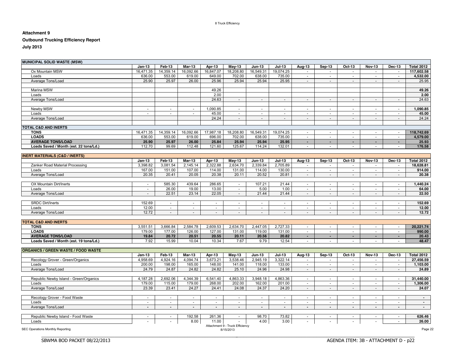#### 8 Truck Efficiency

### **Attachment 9**

### **Outbound Trucking Efficiency Report**

**July 2013**

| <b>MUNICIPAL SOLID WASTE (MSW)</b>         |                          |                |                          |                          |                                 |                          |                          |                          |                          |                          |                          |                          |                   |
|--------------------------------------------|--------------------------|----------------|--------------------------|--------------------------|---------------------------------|--------------------------|--------------------------|--------------------------|--------------------------|--------------------------|--------------------------|--------------------------|-------------------|
|                                            | $Jan-13$                 | Feb-13         | Mar-13                   | Apr-13                   | <b>May-13</b>                   | <b>Jun-13</b>            | <b>Jul-13</b>            | Aug-13                   | Sep-13                   | Oct-13                   | <b>Nov-13</b>            | <b>Dec-13</b>            | <b>Total 2012</b> |
| Ox Mountain MSW                            | 16.471.35                | 14.359.14      | 16.092.66                | 16.847.07                | 18,208.80                       | 16,549.31                | 19.074.25                | $\sim$                   | $\blacksquare$           | $\sim$                   | $\sim$                   | $\sim$                   | 117.602.58        |
| Loads                                      | 636.00                   | 553.00         | 619.00                   | 649.00                   | 702.00                          | 638.00                   | 735.00                   | $\sim$                   | $\sim$                   | $\overline{\phantom{a}}$ | $\overline{\phantom{a}}$ | $\overline{\phantom{a}}$ | 4,532.00          |
| Average Tons/Load                          | 25.90                    | 25.97          | 26.00                    | 25.96                    | 25.94                           | 25.94                    | 25.95                    | $\sim$                   | $\sim$                   | $\sim$                   | $\sim$                   | $\sim$                   | 25.95             |
| Marina MSW                                 |                          |                |                          | 49.26                    |                                 |                          |                          |                          |                          |                          |                          |                          | 49.26             |
| Loads                                      |                          |                |                          | 2.00                     |                                 |                          |                          |                          |                          |                          |                          |                          | 2.00              |
| Average Tons/Load                          |                          |                |                          | 24.63                    |                                 |                          | $\blacksquare$           | $\sim$                   | $\blacksquare$           | $\sim$                   |                          |                          | 24.63             |
|                                            |                          |                |                          |                          |                                 |                          |                          |                          |                          |                          |                          |                          |                   |
| Newby MSW                                  | $\overline{\phantom{a}}$ | $\sim$         | $\overline{\phantom{a}}$ | 1,090.85                 | $\sim$                          | $\sim$                   | $\sim$                   | $\sim$                   | $\sim$                   | $\sim$                   | $\sim$                   | $\overline{\phantom{a}}$ | 1,090.85          |
| Loads                                      | $\sim$                   | $\sim$         | $\sim$                   | 45.00                    | $\sim$                          | $\sim$                   | $\sim$                   | $\sim$                   | $\sim$                   | $\sim$                   | $\sim$                   | $\sim$                   | 45.00             |
| Average Tons/Load                          |                          |                |                          | 24.24                    | $\sim$                          | $\overline{\phantom{a}}$ | $\overline{\phantom{a}}$ | $\sim$                   | $\blacksquare$           | $\overline{\phantom{a}}$ | $\blacksquare$           | $\overline{\phantom{a}}$ | 24.24             |
|                                            |                          |                |                          |                          |                                 |                          |                          |                          |                          |                          |                          |                          |                   |
| <b>TOTAL C&amp;D AND INERTS</b>            |                          |                |                          |                          |                                 |                          |                          |                          |                          |                          |                          |                          |                   |
| <b>TONS</b>                                | 16,471.35                | 14,359.14      | 16,092.66                | 17,987.18                | 18,208.80                       | 16,549.31                | 19,074.25                | $\sim$                   | $\sim$                   | $\overline{\phantom{a}}$ | $\sim$                   | $\overline{\phantom{a}}$ | 118,742.69        |
| <b>LOADS</b>                               | 636.00                   | 553.00         | 619.00                   | 696.00                   | 702.00                          | 638.00                   | 735.00                   | $\sim$                   | $\sim$                   | $\sim$                   | $\sim$                   | $\sim$                   | 4,579.00          |
| <b>AVERAGE TONS/LOAD</b>                   | 25.90                    | 25.97          | 26.00                    | 25.84                    | 25.94                           | 25.94                    | 25.95                    | $\blacksquare$           | $\sim$                   | $\sim$                   | $\sim$                   | $\blacksquare$           | 25.93             |
| Loads Saved / Month (est. 22 tons/Ld.)     | 112.70                   | 99.69          | 112.48                   | 121.60                   | 125.67                          | 114.24                   | 132.01                   | $\blacksquare$           | $\overline{\phantom{a}}$ | $\overline{\phantom{a}}$ | $\overline{a}$           |                          | 176.58            |
| <b>INERT MATERIALS (C&amp;D / INERTS)</b>  |                          |                |                          |                          |                                 |                          |                          |                          |                          |                          |                          |                          |                   |
|                                            | $Jan-13$                 | Feb-13         | <b>Mar-13</b>            | Apr-13                   | <b>May-13</b>                   | <b>Jun-13</b>            | <b>Jul-13</b>            | Aug-13                   | Sep-13                   | Oct-13                   | <b>Nov-13</b>            | Dec-13                   | <b>Total 2012</b> |
| Zanker Road Material Processing            | 3,398.82                 | 3,081.54       | 2,145.14                 | 2,322.88                 | 2,634.70                        | 2,339.84                 | 2,705.89                 | $\sim$                   | $\blacksquare$           | $\overline{\phantom{a}}$ | $\overline{\phantom{a}}$ | $\sim$                   | 18,628.81         |
| Loads                                      | 167.00                   | 151.00         | 107.00                   | 114.00                   | 131.00                          | 114.00                   | 130.00                   | $\blacksquare$           | $\frac{1}{2}$            |                          |                          |                          | 914.00            |
| Average Tons/Load                          | 20.35                    | 20.41          | 20.05                    | 20.38                    | 20.11                           | 20.52                    | 20.81                    | $\sim$                   | $\sim$                   | $\overline{\phantom{a}}$ | $\sim$                   | $\sim$                   | 20.38             |
|                                            |                          |                |                          |                          |                                 |                          |                          |                          |                          |                          |                          |                          |                   |
| OX Mountain Dirt/Inerts                    | $\sim$                   | 585.30         | 439.64                   | 286.65                   | $\sim$                          | 107.21                   | 21.44                    | $\sim$                   | $\overline{a}$           | $\sim$                   | $\sim$                   | $\overline{a}$           | 1,440.24          |
| Loads                                      | $\overline{\phantom{a}}$ | 26.00          | 19.00                    | 13.00                    | $\sim$                          | 5.00                     | 1.00                     | $\sim$                   | $\sim$                   | $\overline{\phantom{a}}$ | $\overline{\phantom{a}}$ | $\blacksquare$           | 64.00             |
| Average Tons/Load                          |                          | 22.51          | 23.14                    | 22.05                    |                                 | 21.44                    | 21.44                    | $\overline{\phantom{a}}$ | $\overline{\phantom{a}}$ |                          |                          |                          | 22.50             |
| <b>SRDC Dirt/Inerts</b>                    | 152.69                   | $\sim$         | $\sim$                   | $\sim$                   | $\sim$                          | $\sim$                   | $\sim$                   | $\sim$                   | $\sim$                   | $\sim$                   | $\sim$                   | $\overline{\phantom{a}}$ | 152.69            |
| Loads                                      | 12.00                    | $\sim$         | $\overline{a}$           | $\overline{a}$           | $\sim$                          | $\sim$                   | $\sim$                   | $\sim$                   | $\sim$                   | $\sim$                   | $\sim$                   | $\overline{a}$           | 12.00             |
| Average Tons/Load                          | 12.72                    |                | $\overline{\phantom{a}}$ |                          | $\blacksquare$                  | $\overline{\phantom{a}}$ | $\overline{\phantom{a}}$ | $\sim$                   | $\overline{\phantom{a}}$ |                          | $\overline{\phantom{a}}$ |                          | 12.72             |
|                                            |                          |                |                          |                          |                                 |                          |                          |                          |                          |                          |                          |                          |                   |
| <b>TOTAL C&amp;D AND INERTS</b>            |                          |                |                          |                          |                                 |                          |                          |                          |                          |                          |                          |                          |                   |
| <b>TONS</b>                                | 3,551.51                 | 3,666.84       | 2,584.78                 | 2,609.53                 | 2,634.70                        | 2,447.05                 | 2,727.33                 | $\sim$                   | $\overline{\phantom{a}}$ | $\overline{\phantom{a}}$ | $\overline{\phantom{a}}$ | $\overline{\phantom{a}}$ | 20,221.74         |
| <b>LOADS</b>                               | 179.00                   | 177.00         | 126.00                   | 127.00                   | 131.00                          | 119.00                   | 131.00                   | $\sim$                   | $\overline{a}$           | $\overline{a}$           | $\overline{a}$           | $\overline{a}$           | 990.00            |
| <b>AVERAGE TONS/LOAD</b>                   | 19.84                    | 20.72          | 20.51                    | 20.55                    | 20.11                           | 20.56                    | 20.82                    | $\sim$                   | $\sim$                   | $\sim$                   | $\sim$                   | $\sim$                   | 20.43             |
| Loads Saved / Month (est. 19 tons/Ld.)     | 7.92                     | 15.99          | 10.04                    | 10.34                    | 7.67                            | 9.79                     | 12.54                    | $\sim$                   | $\sim$                   | $\sim$                   | $\overline{\phantom{a}}$ |                          | 48.47             |
| <b>ORGANICS / GREEN WASTE / FOOD WASTE</b> |                          |                |                          |                          |                                 |                          |                          |                          |                          |                          |                          |                          |                   |
|                                            | $Jan-13$                 | Feb-13         | Mar-13                   | Apr-13                   | $May-13$                        | $Jun-13$                 | <b>Jul-13</b>            | Aug-13                   | Sep-13                   | Oct-13                   | <b>Nov-13</b>            | Dec-13                   | <b>Total 2012</b> |
| Recology Grover - Green/Organics           | 4,958.69                 | 4,924.16       | 4,094.74                 | 3,673.21                 | 3,538.46                        | 2,945.19                 | 3,322.14                 | $\sim$                   | $\overline{\phantom{a}}$ | $\overline{\phantom{a}}$ | $\overline{\phantom{a}}$ | $\overline{\phantom{a}}$ | 27,456.59         |
| Loads                                      | 200.00                   | 198.00         | 165.00                   | 148.00                   | 141.00                          | 118.00                   | 133.00                   | $\blacksquare$           | $\overline{\phantom{a}}$ | $\overline{\phantom{a}}$ | $\overline{\phantom{a}}$ | $\blacksquare$           | 1,103.00          |
| Average Tons/Load                          | 24.79                    | 24.87          | 24.82                    | 24.82                    | 25.10                           | 24.96                    | 24.98                    | $\sim$                   | $\sim$                   | $\sim$                   | $\sim$                   | $\blacksquare$           | 24.89             |
|                                            |                          |                |                          |                          |                                 |                          |                          |                          |                          |                          |                          |                          |                   |
| Republic Newby Island - Green/Organics     | 4,187.28                 | 2,692.06       | 4,344.39                 | 6,541.40                 | 4,863.33                        | 3,948.18                 | 4,863.36                 | $\overline{\phantom{a}}$ | $\overline{\phantom{a}}$ | $\blacksquare$           | $\overline{\phantom{a}}$ | $\blacksquare$           | 31,440.00         |
| Loads                                      | 179.00                   | 115.00         | 179.00                   | 268.00                   | 202.00                          | 162.00                   | 201.00                   | $\mathbb{L}^2$           | $\sim$                   | $\blacksquare$           | $\sim$                   | $\blacksquare$           | 1,306.00          |
| Average Tons/Load                          | 23.39                    | 23.41          | 24.27                    | 24.41                    | 24.08                           | 24.37                    | 24.20                    | $\sim$                   | $\sim$                   | $\overline{\phantom{a}}$ | $\sim$                   | $\overline{\phantom{a}}$ | 24.07             |
|                                            |                          |                |                          |                          |                                 |                          |                          |                          |                          |                          |                          |                          |                   |
| Recology Grover - Food Waste               | $\sim$                   | $\sim$         | $\sim$                   | $\sim$                   | $\sim$                          | $\blacksquare$           | $\sim$                   | $\sim$                   | $\sim$                   | $\sim$                   | $\sim$                   | $\overline{\phantom{a}}$ | $\sim$            |
| Loads                                      | $\blacksquare$           | $\sim$         | $\overline{\phantom{a}}$ | $\overline{\phantom{a}}$ | $\blacksquare$                  | $\overline{\phantom{a}}$ | $\overline{\phantom{a}}$ | $\overline{\phantom{a}}$ | $\blacksquare$           | $\blacksquare$           | $\overline{\phantom{a}}$ |                          | $\sim$            |
| Average Tons/Load                          | $\sim$                   | $\blacksquare$ | $\blacksquare$           | $\blacksquare$           | $\sim$                          | $\blacksquare$           | $\sim$                   | $\blacksquare$           | $\sim$                   | $\blacksquare$           | $\blacksquare$           | $\blacksquare$           | $\sim$            |
| Republic Newby Island - Food Waste         | $\sim$                   | $\omega$       | 192.58                   | 261.36                   | $\sim$                          | 98.70                    | 73.82                    | $\sim$                   | $\sim$                   | $\sim$                   |                          | $\sim$                   | 626.46            |
| Loads                                      |                          |                | 8.00                     | 11.00                    |                                 | 4.00                     | 3.00                     |                          |                          |                          |                          |                          | 26.00             |
|                                            |                          |                |                          |                          | Attachment 9 - Truck Efficiency |                          |                          |                          |                          |                          |                          |                          |                   |
| SEC Operations Monthly Reporting           |                          |                |                          |                          | 8/15/2013                       |                          |                          |                          |                          |                          |                          |                          | Page 22           |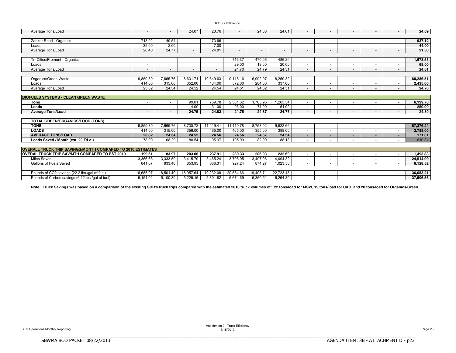|  |  | 8 Truck Efficiency |
|--|--|--------------------|
|--|--|--------------------|

| Average Tons/Load                                                  |                          |                          | 24.07     | 23.76     |           | 24.68                    | 24.61                    |                          |                          |                          |                          | 24.09      |
|--------------------------------------------------------------------|--------------------------|--------------------------|-----------|-----------|-----------|--------------------------|--------------------------|--------------------------|--------------------------|--------------------------|--------------------------|------------|
|                                                                    |                          |                          |           |           |           |                          |                          |                          |                          |                          |                          |            |
| Zanker Road - Organics                                             | 713.92                   | 49.54                    | $\sim$    | 173.66    |           | $\overline{\phantom{a}}$ |                          | $\overline{\phantom{a}}$ | $\overline{\phantom{a}}$ | $\sim$                   | $\overline{\phantom{a}}$ | 937.12     |
| Loads                                                              | 35.00                    | 2.00                     | $\sim$    | 7.00      |           |                          |                          | $\overline{\phantom{a}}$ | $\overline{\phantom{a}}$ |                          | $\overline{\phantom{a}}$ | 44.00      |
| Average Tons/Load                                                  | 20.40                    | 24.77                    |           | 24.81     |           |                          | $\overline{\phantom{0}}$ |                          | $\overline{\phantom{a}}$ | $\overline{\phantom{a}}$ | $\overline{\phantom{a}}$ | 21.30      |
|                                                                    |                          |                          |           |           |           |                          |                          |                          |                          |                          |                          |            |
| Tri-Cities/Fremont - Organics                                      |                          |                          |           |           | 716.37    | 470.96                   | 486.20                   |                          | $\overline{\phantom{a}}$ |                          | ٠                        | 1,673.53   |
| Loads                                                              |                          |                          |           |           | 29.00     | 19.00                    | 20.00                    | $\overline{\phantom{a}}$ | $\overline{\phantom{a}}$ | $\overline{\phantom{a}}$ | $\overline{\phantom{a}}$ | 68.00      |
| Average Tons/Load                                                  |                          |                          |           |           | 24.70     | 24.79                    | 24.31                    |                          | $\overline{\phantom{a}}$ |                          | $\overline{\phantom{m}}$ | 24.61      |
|                                                                    |                          |                          |           |           |           |                          |                          |                          |                          |                          |                          |            |
| Organics/Green Waste                                               | 9,859.89                 | 7,665.76                 | 8,631.71  | 10,649.63 | 9,118.16  | 6,992.07                 | 8,259.32                 | $\overline{\phantom{a}}$ | $\overline{\phantom{a}}$ | $\overline{\phantom{a}}$ | $\overline{\phantom{a}}$ | 60,286.51  |
| Loads                                                              | 414.00                   | 315.00                   | 352.00    | 434.00    | 372.00    | 284.00                   | 337.00                   |                          | $\overline{\phantom{a}}$ | $\overline{\phantom{a}}$ | $\overline{\phantom{a}}$ | 2,435.00   |
| Average Tons/Load                                                  | 23.82                    | 24.34                    | 24.52     | 24.54     | 24.51     | 24.62                    | 24.51                    | $\sim$                   | $\overline{\phantom{a}}$ | $\overline{\phantom{a}}$ | $\overline{\phantom{a}}$ | 24.76      |
|                                                                    |                          |                          |           |           |           |                          |                          |                          |                          |                          |                          |            |
| <b>BIOFUELS SYSTEMS - CLEAN GREEN WASTE</b>                        |                          |                          |           |           |           |                          |                          |                          |                          |                          |                          |            |
| <b>Tons</b>                                                        | $\overline{\phantom{a}}$ | $\overline{\phantom{a}}$ | 99.01     | 769.78    | 2,301.62  | ,765.95                  | ,263.34                  | $\sim$                   | $\overline{\phantom{a}}$ | $\sim$                   | $\overline{\phantom{a}}$ | 6,199.70   |
| Loads                                                              |                          |                          | 4.00      | 31.00     | 93.00     | 71.00                    | 51.00                    |                          | $\overline{\phantom{a}}$ |                          |                          | 250.00     |
| <b>Average Tons/Load</b>                                           |                          |                          | 24.75     | 24.83     | 24.75     | 24.87                    | 24.77                    |                          | $\blacksquare$           | $\blacksquare$           | $\blacksquare$           | 24.80      |
|                                                                    |                          |                          |           |           |           |                          |                          |                          |                          |                          |                          |            |
| TOTAL GREEN/ORGANICS/FOOD (TONS)                                   |                          |                          |           |           |           |                          |                          |                          |                          |                          |                          |            |
| <b>TONS</b>                                                        | 9.859.89                 | 7,665.76                 | 8,730.72  | 11,419.41 | 11.419.78 | 8.758.02                 | 9,522.66                 | $\overline{\phantom{a}}$ | $\overline{\phantom{a}}$ | $\overline{\phantom{a}}$ | $\overline{\phantom{a}}$ | 67.376.24  |
| <b>LOADS</b>                                                       | 414.00                   | 315.00                   | 356.00    | 465.00    | 465.00    | 355.00                   | 388,00                   | $\overline{\phantom{a}}$ | $\overline{\phantom{a}}$ | $\sim$                   | $\overline{\phantom{a}}$ | 2,758.00   |
| <b>AVERAGE TONS/LOAD</b>                                           | 23.82                    | 24.34                    | 24.52     | 24.56     | 24.56     | 24.67                    | 24.54                    | $\blacksquare$           | ۰                        |                          | ٠                        | 171.01     |
| Loads Saved / Month (est. 20 T/Ld.)                                | 78.99                    | 68.29                    | 80.54     | 105.97    | 105.99    | 82.90                    | 88.13                    |                          | $\overline{\phantom{a}}$ |                          |                          | 610.81     |
|                                                                    |                          |                          |           |           |           |                          |                          |                          |                          |                          |                          |            |
| <b>OVERALL TRUCK TRIP SAVINGS/MONTH COMPARED TO 2010 ESTIMATES</b> |                          |                          |           |           |           |                          |                          |                          |                          |                          |                          |            |
| <b>OVERAL TRUCK TRIP SAV/MTH COMPARED TO EST 2010</b>              | 199.61                   | 183.97                   | 203.06    | 237.91    | 239.33    | 206.93                   | 232.69                   | $\blacksquare$           | $\blacksquare$           | $\sim$                   | $\blacksquare$           | 1,493.83   |
| <b>Miles Saved</b>                                                 | 3,366.68                 | 3,333.59                 | 3,415.79  | 3,465.24  | 3.708.95  | 3,497.06                 | 4,094.32                 |                          | ۰                        |                          |                          | 24,514.09  |
| Gallons of Fuels Saved                                             | 841.67                   | 833.40                   | 853.95    | 866.31    | 927.24    | 874.27                   | 1,023.58                 | $\overline{\phantom{a}}$ | $\overline{\phantom{a}}$ | $\overline{\phantom{0}}$ | $\overline{\phantom{a}}$ | 6.128.52   |
|                                                                    |                          |                          |           |           |           |                          |                          |                          |                          |                          |                          |            |
| Pounds of CO2 savings (22.2 lbs./gal of fuel)                      | 18.685.07                | 18.501.40                | 18.957.64 | 19.232.08 | 20.584.66 | 19,408.71                | 22.723.45                | $\overline{\phantom{a}}$ | $\overline{\phantom{a}}$ | $\sim$                   | $\overline{\phantom{a}}$ | 136.053.21 |
| Pounds of Carbon savings (6.12 lbs./qal of fuel)                   | 5,151.02                 | 5,100.39                 | 5,226.16  | 5.301.82  | 5.674.69  | 5,350.51                 | 6,264.30                 | $\overline{\phantom{a}}$ | $\overline{\phantom{a}}$ | $\overline{\phantom{0}}$ | $\overline{\phantom{a}}$ | 37,506.56  |

Note: Truck Savings was based on a comparison of the existing SBR's truck trips compared with the estimated 2010 truck volumes of: 22 tons/load for MSW, 19 tons/load for C&D, and 20 tons/load for Organics/Green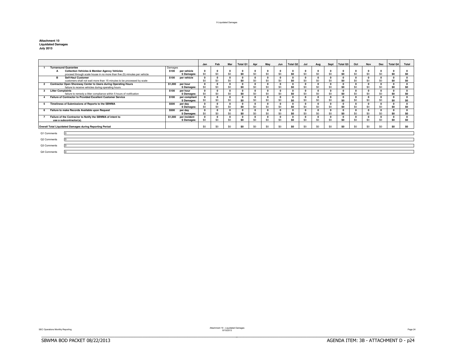#### 9 Liquidated Damages

| <b>Attachment 10</b>      |  |  |  |  |  |
|---------------------------|--|--|--|--|--|
| <b>Liquidated Damages</b> |  |  |  |  |  |
| <b>July 2013</b>          |  |  |  |  |  |

|                                                                       |                                                                          |         |               | Jan | Feb          | Mar | <b>Total Q1</b> | Apr        | May      | Jun      | Total Q <sub>2</sub> | Jul      | Aug          | Sept     | Total Q3 | Oct          | Nov      | Dec      | <b>Total Q4</b> | Total          |
|-----------------------------------------------------------------------|--------------------------------------------------------------------------|---------|---------------|-----|--------------|-----|-----------------|------------|----------|----------|----------------------|----------|--------------|----------|----------|--------------|----------|----------|-----------------|----------------|
|                                                                       | <b>Turnaround Guarantee</b>                                              | Damages |               |     |              |     |                 |            |          |          |                      |          |              |          |          |              |          |          |                 |                |
|                                                                       | <b>Collection Vehicles &amp; Member Agency Vehicles</b>                  | \$100   | per vehicle   |     |              |     |                 |            |          |          |                      |          | 0            |          | $\Omega$ |              | o        |          |                 |                |
|                                                                       | proceed through scale house in no more than five (5) minutes per vehicle |         | \$ Damages:   | \$0 | \$0          | \$0 | S <sub>0</sub>  | \$0        | \$0      | \$0      | \$0                  | \$0      | \$0          | \$0      | \$0      | \$0          | \$0      | \$0      | S <sub>0</sub>  | S <sub>0</sub> |
|                                                                       | <b>B</b><br><b>Self-Haul Customer</b>                                    | \$100   | per vehicle   |     | $\mathbf{r}$ |     |                 |            | $\Omega$ | $\Omega$ | $\Omega$             | $\Omega$ | $\Omega$     |          | $\Omega$ | $\mathbf{0}$ | o        | 0        | $\Omega$        | $\sqrt{2}$     |
|                                                                       | customers shall not wait more than 15 minutes to be processed by scale   |         |               | \$0 | \$0          | \$0 | SO.             | \$0        | \$0      | \$0      | \$0                  | \$0      | \$0          | \$0      | \$O      | \$0          | \$0      | \$0      | S <sub>0</sub>  | S <sub>0</sub> |
|                                                                       | Contractor Open Shoreway Center to Users during Operating Hours          | \$1,000 | per hour      |     | $\mathbf{r}$ |     |                 | $\sqrt{2}$ | $\Omega$ | $\Omega$ | $\Omega$             | $\Omega$ | $\Omega$     | $\Omega$ | $\Omega$ | $\Omega$     |          | $\Omega$ | $\Omega$        | $\Omega$       |
|                                                                       | failure to receive vehicles during operating hours                       |         | \$ Damages:   | \$0 | \$0          | \$0 | SO.             | \$0        | \$0      | \$0      | \$0                  | \$0      | \$0          | \$0      | \$0      | \$0          | \$0      | \$0      | S <sub>0</sub>  | S <sub>0</sub> |
|                                                                       | <b>Litter Complaints</b>                                                 | \$100   | per hour      |     |              |     |                 |            |          |          |                      | $\Omega$ |              |          | $\Omega$ | $\Omega$     |          |          | 0               |                |
|                                                                       | failure to remedy a litter compliance within 5 hours of notification     |         | \$ Damages:   | \$0 | \$0          | \$0 | SO.             | \$0        | \$0      | \$0      | \$0                  | \$0      | \$0          | \$0      | \$O      | \$0          | \$0      | \$0      | S <sub>0</sub>  | S <sub>0</sub> |
|                                                                       | Failure of Contractor to Provided Excellent Customer Service             | \$100   | per compliant |     | $\Omega$     |     |                 |            | $\Omega$ |          |                      | $\Omega$ | $\Omega$     |          | $\Omega$ | $\Omega$     | 0        | 0        | $\Omega$        |                |
|                                                                       |                                                                          |         | \$ Damages:   | \$0 | \$0          | \$0 | SO.             | \$0        | \$0      | \$0      | \$0                  | \$0      | \$0          | \$0      | \$0      | \$0          | \$0      | \$0      | SO.             | \$0            |
| Timeliness of Submissions of Reports to the SBWMA<br>\$500<br>per day |                                                                          |         |               |     |              |     |                 |            |          | $\Omega$ | n                    |          | $\mathbf{0}$ | $\Omega$ |          | 0            | $\Omega$ |          |                 |                |
|                                                                       |                                                                          |         | \$ Damages:   | \$0 | \$0          | \$0 | SO.             | \$0        | \$0      | \$0      | SO.                  | \$0      | \$0          | \$0      | \$0      | \$0          | \$0      | \$0      | SO.             | S <sub>0</sub> |
|                                                                       | Failure to make Records Available upon Request                           | \$500   | per day       |     |              |     |                 |            |          |          |                      | $\Omega$ |              |          | $\Omega$ |              |          | $\Omega$ | $\Omega$        |                |
|                                                                       |                                                                          |         | \$Damages:    | \$0 | \$0          | \$0 | SO.             | \$0        | \$0      | SO.      | \$0                  | \$0      | \$0          | \$0      | \$0      | \$0          | \$0      | \$0      | S <sub>0</sub>  | S <sub>0</sub> |
|                                                                       | Failure of the Contractor to Notify the SBWMA of intent to               | \$1,000 | per incident  |     |              |     |                 |            |          |          |                      |          |              |          | $\Omega$ |              |          |          |                 |                |
|                                                                       | use a subcontractor(s).                                                  |         | \$ Damages:   | \$0 | \$0          | \$0 | SO.             | \$0        | \$0      | \$0      | \$0                  | \$0      | \$0          | \$0      | \$0      | \$0          | \$0      | \$0      | S <sub>0</sub>  | S <sub>0</sub> |
|                                                                       |                                                                          |         |               |     |              |     |                 |            |          |          |                      |          |              |          |          |              |          |          |                 |                |
|                                                                       | Overall Total Liquidated Damages during Reporting Period                 |         |               | \$0 | \$0          | \$0 | SO.             | \$0        | \$0      | \$0      | \$0                  | \$0      | \$0          | \$0      | \$O      | \$0          | \$0      | \$0      | \$0             | \$n            |
|                                                                       |                                                                          |         |               |     |              |     |                 |            |          |          |                      |          |              |          |          |              |          |          |                 |                |
|                                                                       | Q1 Comments                                                              |         |               |     |              |     |                 |            |          |          |                      |          |              |          |          |              |          |          |                 |                |
|                                                                       |                                                                          |         |               |     |              |     |                 |            |          |          |                      |          |              |          |          |              |          |          |                 |                |
|                                                                       | Q2 Comments                                                              |         |               |     |              |     |                 |            |          |          |                      |          |              |          |          |              |          |          |                 |                |
|                                                                       | Q3 Comments                                                              |         |               |     |              |     |                 |            |          |          |                      |          |              |          |          |              |          |          |                 |                |
|                                                                       |                                                                          |         |               |     |              |     |                 |            |          |          |                      |          |              |          |          |              |          |          |                 |                |
| Q4 Comments                                                           |                                                                          |         |               |     |              |     |                 |            |          |          |                      |          |              |          |          |              |          |          |                 |                |

Attachment 10 - Liquidated Damages<br>SEC Operations Monthly Reporting Attachment 10 - Liquidated Damages and Attachment 215/2013

BBBBBBBBBBBBBBBBBBBBBBBBBBBBBBBBBBBBBBBBBBBBBBBBBBBBBBBBBBBBBBBBBBBBBBBBBBBBBB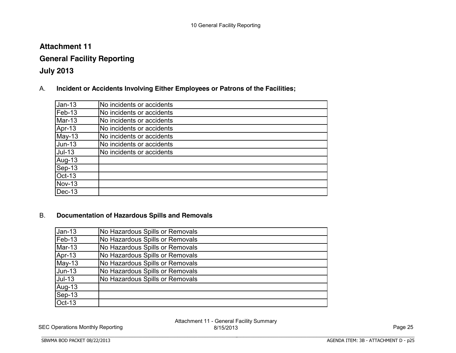# **Attachment 11**

# **General Facility Reporting**

# **July 2013**

A. **Incident or Accidents Involving Either Employees or Patrons of the Facilities;**

| $Jan-13$      | No incidents or accidents |
|---------------|---------------------------|
| Feb-13        | No incidents or accidents |
| Mar-13        | No incidents or accidents |
| Apr-13        | No incidents or accidents |
| May-13        | No incidents or accidents |
| <b>Jun-13</b> | No incidents or accidents |
| $Jul-13$      | No incidents or accidents |
| Aug-13        |                           |
| Sep-13        |                           |
| Oct-13        |                           |
| <b>Nov-13</b> |                           |
| Dec-13        |                           |

### B. **Documentation of Hazardous Spills and Removals**

BBBBBBBBBBBBBBBBBBBBBBBBBBBBBBBBBBBBBBBBBBBBBBBBBBBBBBBBBBBBBBBBBBBBBBBBBBBBBB

| $Jan-13$      | No Hazardous Spills or Removals |
|---------------|---------------------------------|
|               |                                 |
| Feb-13        | No Hazardous Spills or Removals |
| Mar-13        | No Hazardous Spills or Removals |
| Apr-13        | No Hazardous Spills or Removals |
| $May-13$      | No Hazardous Spills or Removals |
| <b>Jun-13</b> | No Hazardous Spills or Removals |
| $Jul-13$      | No Hazardous Spills or Removals |
| Aug-13        |                                 |
| Sep-13        |                                 |
| $Oct-13$      |                                 |

SEC Operations Monthly Reporting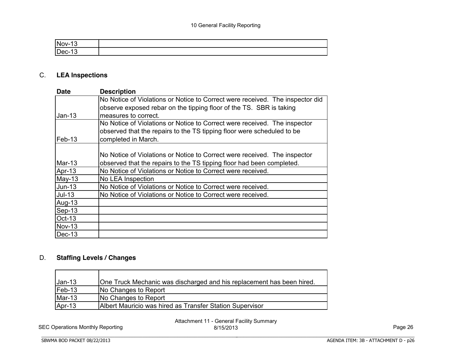| 'N |  |
|----|--|
|    |  |

# C. **LEA Inspections**

| <b>Date</b>   | <b>Description</b>                                                            |
|---------------|-------------------------------------------------------------------------------|
|               | No Notice of Violations or Notice to Correct were received. The inspector did |
|               | observe exposed rebar on the tipping floor of the TS. SBR is taking           |
| $Jan-13$      | measures to correct.                                                          |
|               | No Notice of Violations or Notice to Correct were received. The inspector     |
|               | observed that the repairs to the TS tipping floor were scheduled to be        |
| Feb-13        | completed in March.                                                           |
|               |                                                                               |
|               | No Notice of Violations or Notice to Correct were received. The inspector     |
| Mar-13        | observed that the repairs to the TS tipping floor had been completed.         |
| Apr-13        | No Notice of Violations or Notice to Correct were received.                   |
| $May-13$      | No LEA Inspection                                                             |
| <b>Jun-13</b> | No Notice of Violations or Notice to Correct were received.                   |
| $Jul-13$      | No Notice of Violations or Notice to Correct were received.                   |
| Aug-13        |                                                                               |
| Sep-13        |                                                                               |
| <b>Oct-13</b> |                                                                               |
| <b>Nov-13</b> |                                                                               |
| $Dec-13$      |                                                                               |

# D. **Staffing Levels / Changes**

| $Jan-13$   | One Truck Mechanic was discharged and his replacement has been hired. |
|------------|-----------------------------------------------------------------------|
| $[Feb-13]$ | No Changes to Report                                                  |
| $Mar-13$   | No Changes to Report                                                  |
| Apr-13     | Albert Mauricio was hired as Transfer Station Supervisor              |

BBBBBBBBBBBBBBBBBBBBBBBBBBBBBBBBBBBBBBBBBBBBBBBBBBBBBBBBBBBBBBBBBBBBBBBBBBBBBB

SEC Operations Monthly Reporting

Attachment 11 - General Facility Summary 8/15/2013 Page 26

**SBWMA BOD PACKET 08/22/2013**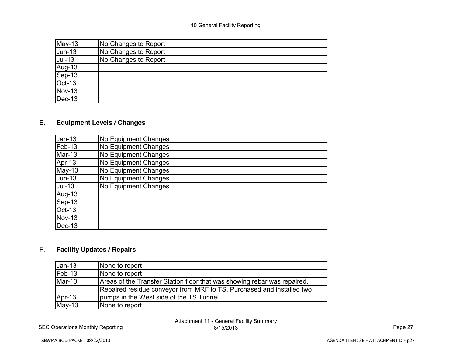| $May-13$         | No Changes to Report |
|------------------|----------------------|
| <b>Jun-13</b>    | No Changes to Report |
| $Jul-13$         | No Changes to Report |
|                  |                      |
| Aug-13<br>Sep-13 |                      |
| Oct-13           |                      |
| <b>Nov-13</b>    |                      |
| $Dec-13$         |                      |

# E. **Equipment Levels / Changes**

| $Jan-13$      | No Equipment Changes |
|---------------|----------------------|
| Feb-13        | No Equipment Changes |
| Mar-13        | No Equipment Changes |
| Apr-13        | No Equipment Changes |
| $May-13$      | No Equipment Changes |
| <b>Jun-13</b> | No Equipment Changes |
| $Jul-13$      | No Equipment Changes |
| Aug-13        |                      |
| Sep-13        |                      |
| Oct-13        |                      |
| <b>Nov-13</b> |                      |
| Dec-13        |                      |

### F. **Facility Updates / Repairs**

| $Jan-13$ | None to report                                                           |
|----------|--------------------------------------------------------------------------|
| $Feb-13$ | None to report                                                           |
| Mar-13   | Areas of the Transfer Station floor that was showing rebar was repaired. |
|          | Repaired residue conveyor from MRF to TS, Purchased and installed two    |
| Apr-13   | pumps in the West side of the TS Tunnel.                                 |
| $May-13$ | None to report                                                           |

BBBBBBBBBBBBBBBBBBBBBBBBBBBBBBBBBBBBBBBBBBBBBBBBBBBBBBBBBBBBBBBBBBBBBBBBBBBBBB

SEC Operations Monthly Reporting

Attachment 11 - General Facility Summary 8/15/2013 Page 27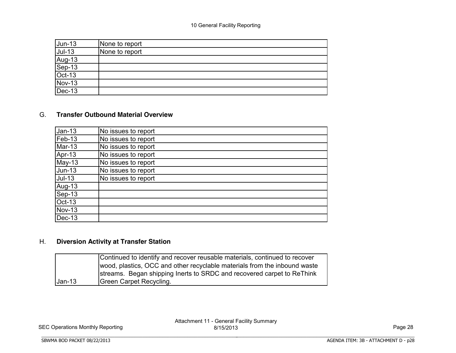| $Jun-13$                   | None to report |
|----------------------------|----------------|
| $Jul-13$                   | None to report |
| Aug-13<br>Sep-13<br>Oct-13 |                |
|                            |                |
|                            |                |
| <b>Nov-13</b>              |                |
| $Dec-13$                   |                |

### G. **Transfer Outbound Material Overview**

| $Jan-13$      | No issues to report |
|---------------|---------------------|
| Feb-13        | No issues to report |
| Mar-13        | No issues to report |
| Apr-13        | No issues to report |
| <b>May-13</b> | No issues to report |
| <b>Jun-13</b> | No issues to report |
| $Jul-13$      | No issues to report |
| Aug-13        |                     |
| Sep-13        |                     |
| <b>Oct-13</b> |                     |
| <b>Nov-13</b> |                     |
| Dec-13        |                     |

### H. **Diversion Activity at Transfer Station**

BBBBBBBBBBBBBBBBBBBBBBBBBBBBBBBBBBBBBBBBBBBBBBBBBBBBBBBBBBBBBBBBBBBBBBBBBBBBBB

|          | Continued to identify and recover reusable materials, continued to recover |
|----------|----------------------------------------------------------------------------|
|          | wood, plastics, OCC and other recyclable materials from the inbound waste  |
|          | streams. Began shipping lnerts to SRDC and recovered carpet to ReThink     |
| $Jan-13$ | Green Carpet Recycling.                                                    |

SEC Operations Monthly Reporting

SBWMA BOD PACKET 08/22/2013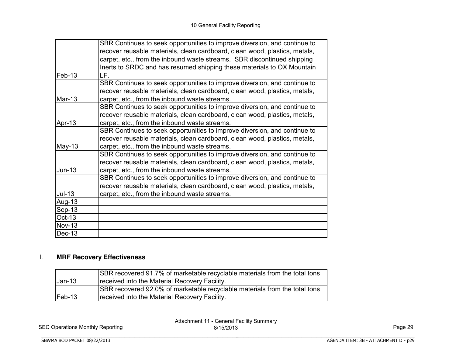|               | SBR Continues to seek opportunities to improve diversion, and continue to  |
|---------------|----------------------------------------------------------------------------|
|               | recover reusable materials, clean cardboard, clean wood, plastics, metals, |
|               | carpet, etc., from the inbound waste streams. SBR discontinued shipping    |
|               | Inerts to SRDC and has resumed shipping these materials to OX Mountain     |
| Feb-13        | LF.                                                                        |
|               | SBR Continues to seek opportunities to improve diversion, and continue to  |
|               | recover reusable materials, clean cardboard, clean wood, plastics, metals, |
| Mar-13        | carpet, etc., from the inbound waste streams.                              |
|               | SBR Continues to seek opportunities to improve diversion, and continue to  |
|               | recover reusable materials, clean cardboard, clean wood, plastics, metals, |
| Apr-13        | carpet, etc., from the inbound waste streams.                              |
|               | SBR Continues to seek opportunities to improve diversion, and continue to  |
|               | recover reusable materials, clean cardboard, clean wood, plastics, metals, |
| May-13        | carpet, etc., from the inbound waste streams.                              |
|               | SBR Continues to seek opportunities to improve diversion, and continue to  |
|               | recover reusable materials, clean cardboard, clean wood, plastics, metals, |
| $Jun-13$      | carpet, etc., from the inbound waste streams.                              |
|               | SBR Continues to seek opportunities to improve diversion, and continue to  |
|               | recover reusable materials, clean cardboard, clean wood, plastics, metals, |
| $Jul-13$      | carpet, etc., from the inbound waste streams.                              |
| Aug-13        |                                                                            |
| Sep-13        |                                                                            |
| Oct-13        |                                                                            |
| <b>Nov-13</b> |                                                                            |
| Dec-13        |                                                                            |

### I. **MRF Recovery Effectiveness**

|                   | <b>ISBR</b> recovered 91.7% of marketable recyclable materials from the total tons |
|-------------------|------------------------------------------------------------------------------------|
| $Jan-13$          | Treceived into the Material Recovery Facility.                                     |
|                   | ISBR recovered 92.0% of marketable recyclable materials from the total tons        |
| $\textsf{Feb-13}$ | Treceived into the Material Recovery Facility.                                     |

BBBBBBBBBBBBBBBBBBBBBBBBBBBBBBBBBBBBBBBBBBBBBBBBBBBBBBBBBBBBBBBBBBBBBBBBBBBBBB

SEC Operations Monthly Reporting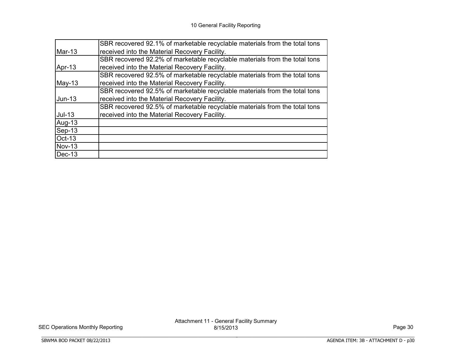|               | SBR recovered 92.1% of marketable recyclable materials from the total tons |
|---------------|----------------------------------------------------------------------------|
| Mar-13        | received into the Material Recovery Facility.                              |
|               | SBR recovered 92.2% of marketable recyclable materials from the total tons |
| Apr-13        | received into the Material Recovery Facility.                              |
|               | SBR recovered 92.5% of marketable recyclable materials from the total tons |
| $May-13$      | received into the Material Recovery Facility.                              |
|               | SBR recovered 92.5% of marketable recyclable materials from the total tons |
| $Jun-13$      | received into the Material Recovery Facility.                              |
|               | SBR recovered 92.5% of marketable recyclable materials from the total tons |
| $Jul-13$      | received into the Material Recovery Facility.                              |
| Aug-13        |                                                                            |
| $Sep-13$      |                                                                            |
| Oct-13        |                                                                            |
| <b>Nov-13</b> |                                                                            |
| Dec-13        |                                                                            |

BBBBBBBBBBBBBBBBBBBBBBBBBBBBBBBBBBBBBBBBBBBBBBBBBBBBBBBBBBBBBBBBBBBBBBBBBBBBBB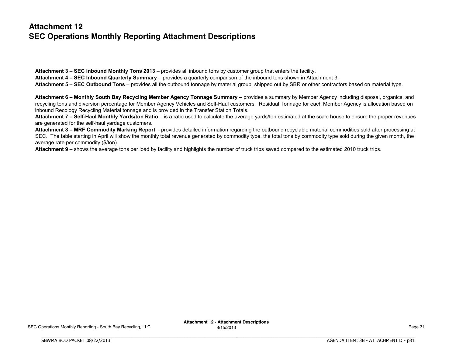# **Attachment 12 SEC Operations Monthly Reporting Attachment Descriptions**

**Attachment 3 – SEC Inbound Monthly Tons 2013** – provides all inbound tons by customer group that enters the facility. **Attachment 4 – SEC Inbound Quarterly Summary** – provides a quarterly comparison of the inbound tons shown in Attachment 3. **Attachment 5 – SEC Outbound Tons** – provides all the outbound tonnage by material group, shipped out by SBR or other contractors based on material type.

Attachment 6 - Monthly South Bay Recycling Member Agency Tonnage Summary - provides a summary by Member Agency including disposal, organics, and recycling tons and diversion percentage for Member Agency Vehicles and Self-Haul customers. Residual Tonnage for each Member Agency is allocation based on inbound Recology Recycling Material tonnage and is provided in the Transfer Station Totals.

Attachment 7 - Self-Haul Monthly Yards/ton Ratio - is a ratio used to calculate the average vards/ton estimated at the scale house to ensure the proper revenues are generated for the self-haul yardage customers.

Attachment 8 - MRF Commodity Marking Report - provides detailed information regarding the outbound recyclable material commodities sold after processing at SEC. The table starting in April will show the monthly total revenue generated by commodity type, the total tons by commodity type sold during the given month, the average rate per commodity (\$/ton).

**Attachment 9** – shows the average tons per load by facility and highlights the number of truck trips saved compared to the estimated 2010 truck trips.

BBBBBBBBBBBBBBBBBBBBBBBBBBBBBBBBBBBBBBBBBBBBBBBBBBBBBBBBBBBBBBBBBBBBBBBBBBBBBB